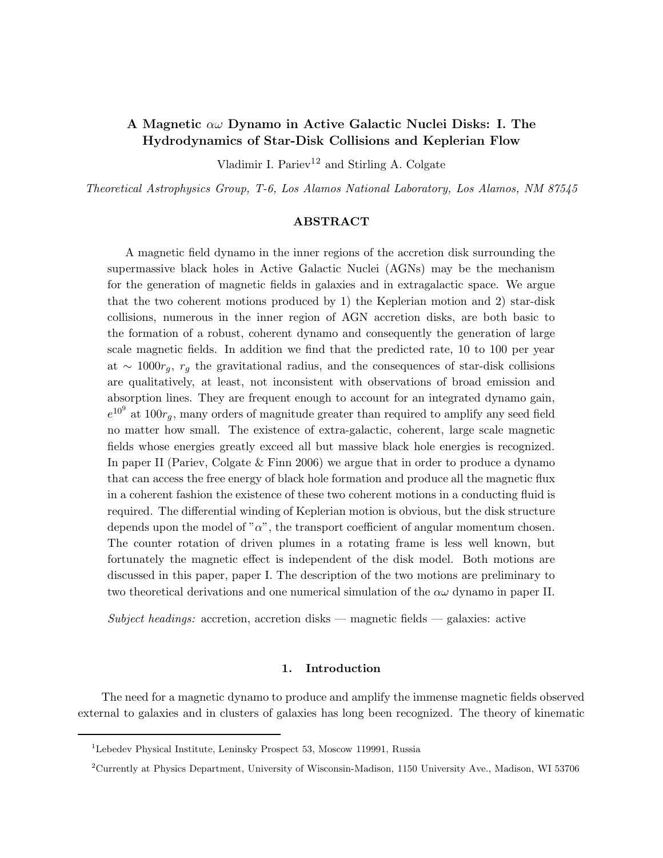# A Magnetic  $\alpha\omega$  Dynamo in Active Galactic Nuclei Disks: I. The Hydrodynamics of Star-Disk Collisions and Keplerian Flow

Vladimir I. Pariev<sup>12</sup> and Stirling A. Colgate

Theoretical Astrophysics Group, T-6, Los Alamos National Laboratory, Los Alamos, NM 87545

# ABSTRACT

A magnetic field dynamo in the inner regions of the accretion disk surrounding the supermassive black holes in Active Galactic Nuclei (AGNs) may be the mechanism for the generation of magnetic fields in galaxies and in extragalactic space. We argue that the two coherent motions produced by 1) the Keplerian motion and 2) star-disk collisions, numerous in the inner region of AGN accretion disks, are both basic to the formation of a robust, coherent dynamo and consequently the generation of large scale magnetic fields. In addition we find that the predicted rate, 10 to 100 per year at ~ 1000 $r_g$ ,  $r_g$  the gravitational radius, and the consequences of star-disk collisions are qualitatively, at least, not inconsistent with observations of broad emission and absorption lines. They are frequent enough to account for an integrated dynamo gain,  $e^{10^9}$  at  $100r_g$ , many orders of magnitude greater than required to amplify any seed field no matter how small. The existence of extra-galactic, coherent, large scale magnetic fields whose energies greatly exceed all but massive black hole energies is recognized. In paper II (Pariev, Colgate & Finn 2006) we argue that in order to produce a dynamo that can access the free energy of black hole formation and produce all the magnetic flux in a coherent fashion the existence of these two coherent motions in a conducting fluid is required. The differential winding of Keplerian motion is obvious, but the disk structure depends upon the model of " $\alpha$ ", the transport coefficient of angular momentum chosen. The counter rotation of driven plumes in a rotating frame is less well known, but fortunately the magnetic effect is independent of the disk model. Both motions are discussed in this paper, paper I. The description of the two motions are preliminary to two theoretical derivations and one numerical simulation of the  $\alpha\omega$  dynamo in paper II.

 $Subject$  headings: accretion, accretion disks — magnetic fields — galaxies: active

# 1. Introduction

The need for a magnetic dynamo to produce and amplify the immense magnetic fields observed external to galaxies and in clusters of galaxies has long been recognized. The theory of kinematic

<sup>1</sup>Lebedev Physical Institute, Leninsky Prospect 53, Moscow 119991, Russia

<sup>2</sup>Currently at Physics Department, University of Wisconsin-Madison, 1150 University Ave., Madison, WI 53706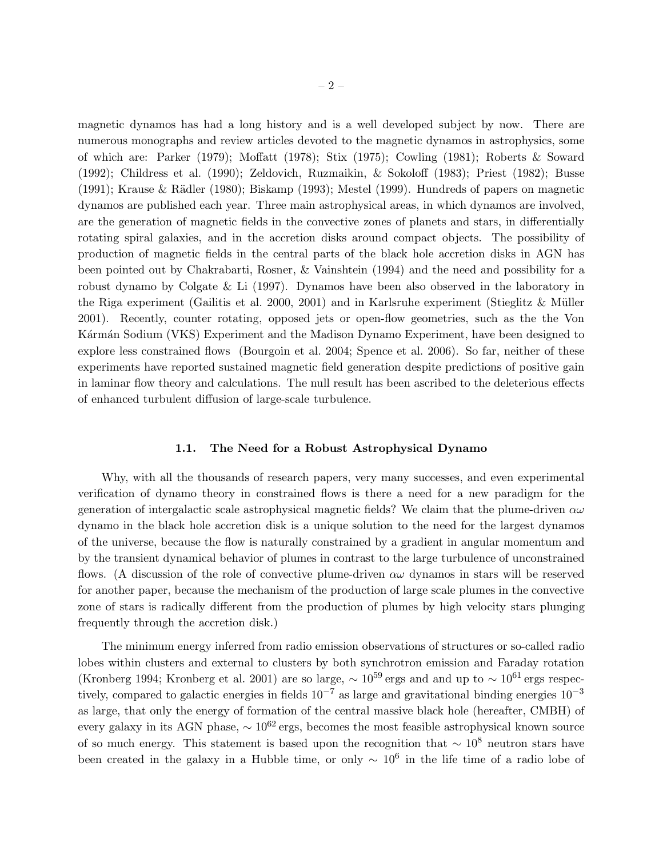magnetic dynamos has had a long history and is a well developed subject by now. There are numerous monographs and review articles devoted to the magnetic dynamos in astrophysics, some of which are: Parker (1979); Moffatt (1978); Stix (1975); Cowling (1981); Roberts & Soward (1992); Childress et al. (1990); Zeldovich, Ruzmaikin, & Sokoloff (1983); Priest (1982); Busse  $(1991)$ ; Krause & Rädler (1980); Biskamp (1993); Mestel (1999). Hundreds of papers on magnetic dynamos are published each year. Three main astrophysical areas, in which dynamos are involved, are the generation of magnetic fields in the convective zones of planets and stars, in differentially rotating spiral galaxies, and in the accretion disks around compact objects. The possibility of production of magnetic fields in the central parts of the black hole accretion disks in AGN has been pointed out by Chakrabarti, Rosner, & Vainshtein (1994) and the need and possibility for a robust dynamo by Colgate & Li (1997). Dynamos have been also observed in the laboratory in the Riga experiment (Gailitis et al. 2000, 2001) and in Karlsruhe experiment (Stieglitz  $&$  Müller 2001). Recently, counter rotating, opposed jets or open-flow geometries, such as the the Von Kármán Sodium (VKS) Experiment and the Madison Dynamo Experiment, have been designed to explore less constrained flows (Bourgoin et al. 2004; Spence et al. 2006). So far, neither of these experiments have reported sustained magnetic field generation despite predictions of positive gain in laminar flow theory and calculations. The null result has been ascribed to the deleterious effects of enhanced turbulent diffusion of large-scale turbulence.

### 1.1. The Need for a Robust Astrophysical Dynamo

Why, with all the thousands of research papers, very many successes, and even experimental verification of dynamo theory in constrained flows is there a need for a new paradigm for the generation of intergalactic scale astrophysical magnetic fields? We claim that the plume-driven  $\alpha\omega$ dynamo in the black hole accretion disk is a unique solution to the need for the largest dynamos of the universe, because the flow is naturally constrained by a gradient in angular momentum and by the transient dynamical behavior of plumes in contrast to the large turbulence of unconstrained flows. (A discussion of the role of convective plume-driven  $\alpha\omega$  dynamos in stars will be reserved for another paper, because the mechanism of the production of large scale plumes in the convective zone of stars is radically different from the production of plumes by high velocity stars plunging frequently through the accretion disk.)

The minimum energy inferred from radio emission observations of structures or so-called radio lobes within clusters and external to clusters by both synchrotron emission and Faraday rotation (Kronberg 1994; Kronberg et al. 2001) are so large,  $\sim 10^{59}$  ergs and and up to  $\sim 10^{61}$  ergs respectively, compared to galactic energies in fields  $10^{-7}$  as large and gravitational binding energies  $10^{-3}$ as large, that only the energy of formation of the central massive black hole (hereafter, CMBH) of every galaxy in its AGN phase,  $\sim 10^{62}$  ergs, becomes the most feasible astrophysical known source of so much energy. This statement is based upon the recognition that  $\sim 10^8$  neutron stars have been created in the galaxy in a Hubble time, or only  $\sim 10^6$  in the life time of a radio lobe of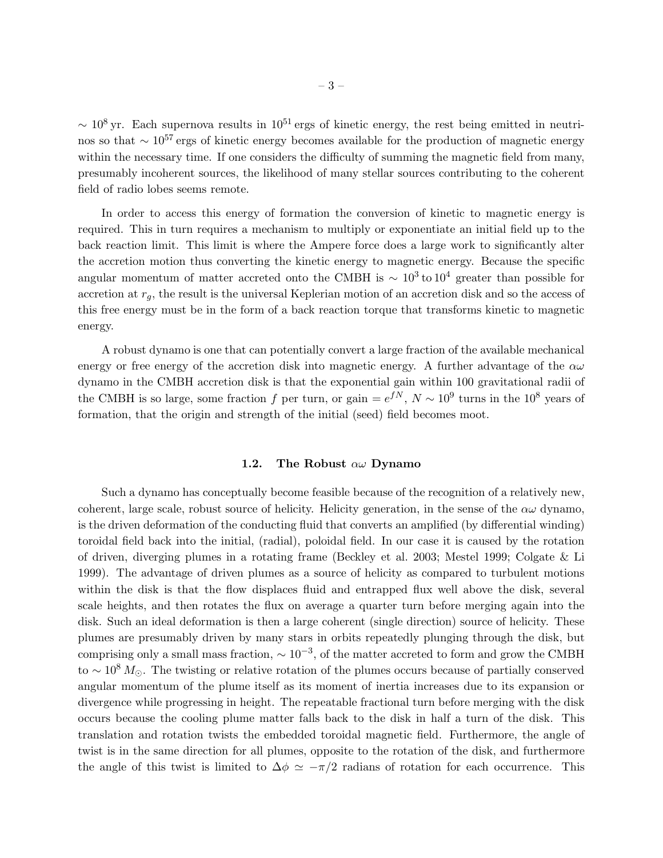$\sim 10^8$  yr. Each supernova results in  $10^{51}$  ergs of kinetic energy, the rest being emitted in neutrinos so that  $\sim 10^{57}$  ergs of kinetic energy becomes available for the production of magnetic energy within the necessary time. If one considers the difficulty of summing the magnetic field from many, presumably incoherent sources, the likelihood of many stellar sources contributing to the coherent field of radio lobes seems remote.

In order to access this energy of formation the conversion of kinetic to magnetic energy is required. This in turn requires a mechanism to multiply or exponentiate an initial field up to the back reaction limit. This limit is where the Ampere force does a large work to significantly alter the accretion motion thus converting the kinetic energy to magnetic energy. Because the specific angular momentum of matter accreted onto the CMBH is  $\sim 10^3$  to  $10^4$  greater than possible for accretion at  $r_g$ , the result is the universal Keplerian motion of an accretion disk and so the access of this free energy must be in the form of a back reaction torque that transforms kinetic to magnetic energy.

A robust dynamo is one that can potentially convert a large fraction of the available mechanical energy or free energy of the accretion disk into magnetic energy. A further advantage of the  $\alpha\omega$ dynamo in the CMBH accretion disk is that the exponential gain within 100 gravitational radii of the CMBH is so large, some fraction f per turn, or gain  $=e^{fN}$ ,  $N \sim 10^9$  turns in the  $10^8$  years of formation, that the origin and strength of the initial (seed) field becomes moot.

# 1.2. The Robust  $\alpha\omega$  Dynamo

Such a dynamo has conceptually become feasible because of the recognition of a relatively new, coherent, large scale, robust source of helicity. Helicity generation, in the sense of the  $\alpha\omega$  dynamo, is the driven deformation of the conducting fluid that converts an amplified (by differential winding) toroidal field back into the initial, (radial), poloidal field. In our case it is caused by the rotation of driven, diverging plumes in a rotating frame (Beckley et al. 2003; Mestel 1999; Colgate & Li 1999). The advantage of driven plumes as a source of helicity as compared to turbulent motions within the disk is that the flow displaces fluid and entrapped flux well above the disk, several scale heights, and then rotates the flux on average a quarter turn before merging again into the disk. Such an ideal deformation is then a large coherent (single direction) source of helicity. These plumes are presumably driven by many stars in orbits repeatedly plunging through the disk, but comprising only a small mass fraction,  $\sim 10^{-3}$ , of the matter accreted to form and grow the CMBH to ~ 10<sup>8</sup>  $M_{\odot}$ . The twisting or relative rotation of the plumes occurs because of partially conserved angular momentum of the plume itself as its moment of inertia increases due to its expansion or divergence while progressing in height. The repeatable fractional turn before merging with the disk occurs because the cooling plume matter falls back to the disk in half a turn of the disk. This translation and rotation twists the embedded toroidal magnetic field. Furthermore, the angle of twist is in the same direction for all plumes, opposite to the rotation of the disk, and furthermore the angle of this twist is limited to  $\Delta \phi \simeq -\pi/2$  radians of rotation for each occurrence. This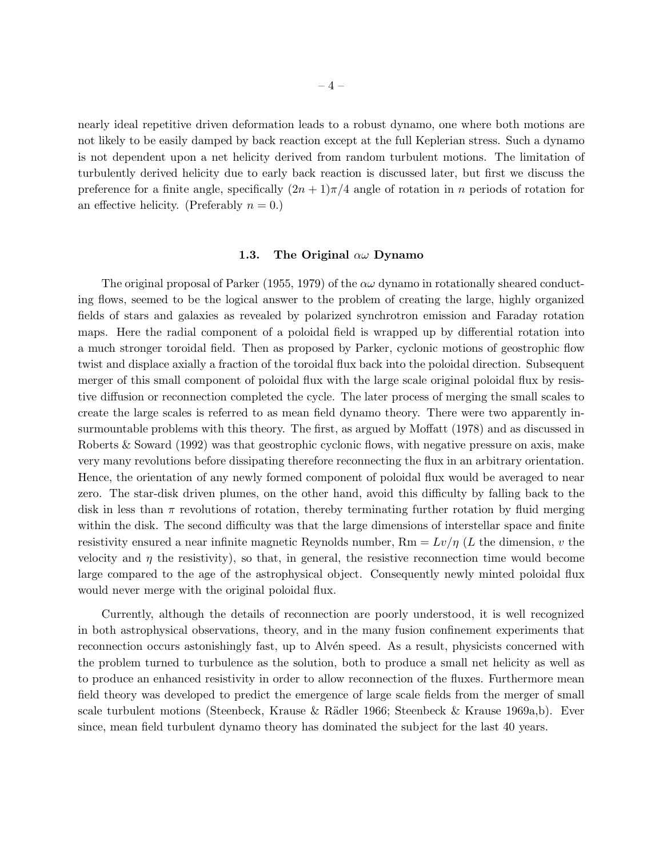nearly ideal repetitive driven deformation leads to a robust dynamo, one where both motions are not likely to be easily damped by back reaction except at the full Keplerian stress. Such a dynamo is not dependent upon a net helicity derived from random turbulent motions. The limitation of turbulently derived helicity due to early back reaction is discussed later, but first we discuss the preference for a finite angle, specifically  $(2n+1)\pi/4$  angle of rotation in n periods of rotation for an effective helicity. (Preferably  $n = 0$ .)

#### 1.3. The Original  $\alpha\omega$  Dynamo

The original proposal of Parker (1955, 1979) of the  $\alpha\omega$  dynamo in rotationally sheared conducting flows, seemed to be the logical answer to the problem of creating the large, highly organized fields of stars and galaxies as revealed by polarized synchrotron emission and Faraday rotation maps. Here the radial component of a poloidal field is wrapped up by differential rotation into a much stronger toroidal field. Then as proposed by Parker, cyclonic motions of geostrophic flow twist and displace axially a fraction of the toroidal flux back into the poloidal direction. Subsequent merger of this small component of poloidal flux with the large scale original poloidal flux by resistive diffusion or reconnection completed the cycle. The later process of merging the small scales to create the large scales is referred to as mean field dynamo theory. There were two apparently insurmountable problems with this theory. The first, as argued by Moffatt (1978) and as discussed in Roberts & Soward (1992) was that geostrophic cyclonic flows, with negative pressure on axis, make very many revolutions before dissipating therefore reconnecting the flux in an arbitrary orientation. Hence, the orientation of any newly formed component of poloidal flux would be averaged to near zero. The star-disk driven plumes, on the other hand, avoid this difficulty by falling back to the disk in less than  $\pi$  revolutions of rotation, thereby terminating further rotation by fluid merging within the disk. The second difficulty was that the large dimensions of interstellar space and finite resistivity ensured a near infinite magnetic Reynolds number,  $Rm = Lv/\eta$  (L the dimension, v the velocity and  $\eta$  the resistivity), so that, in general, the resistive reconnection time would become large compared to the age of the astrophysical object. Consequently newly minted poloidal flux would never merge with the original poloidal flux.

Currently, although the details of reconnection are poorly understood, it is well recognized in both astrophysical observations, theory, and in the many fusion confinement experiments that reconnection occurs astonishingly fast, up to Alvén speed. As a result, physicists concerned with the problem turned to turbulence as the solution, both to produce a small net helicity as well as to produce an enhanced resistivity in order to allow reconnection of the fluxes. Furthermore mean field theory was developed to predict the emergence of large scale fields from the merger of small scale turbulent motions (Steenbeck, Krause & R¨adler 1966; Steenbeck & Krause 1969a,b). Ever since, mean field turbulent dynamo theory has dominated the subject for the last 40 years.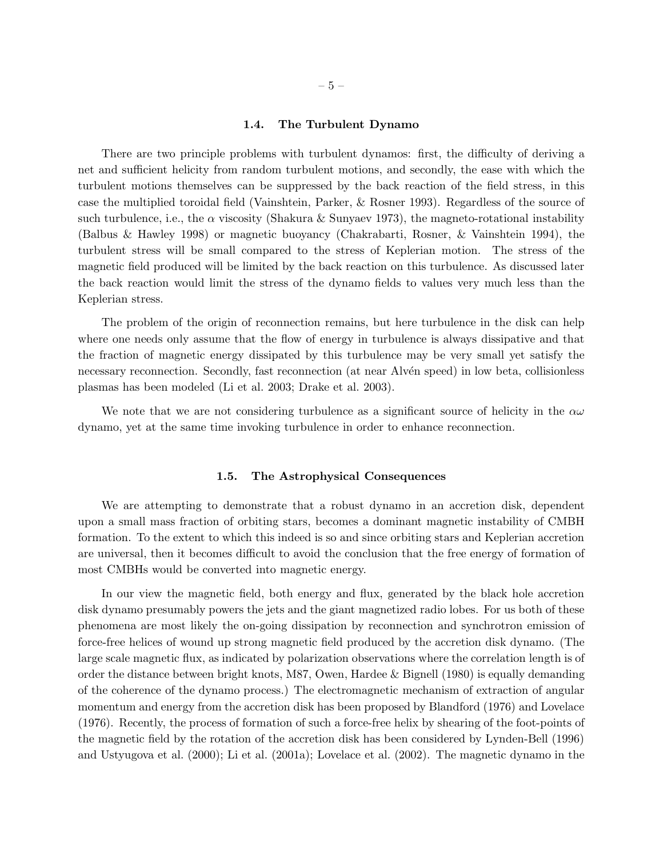# 1.4. The Turbulent Dynamo

There are two principle problems with turbulent dynamos: first, the difficulty of deriving a net and sufficient helicity from random turbulent motions, and secondly, the ease with which the turbulent motions themselves can be suppressed by the back reaction of the field stress, in this case the multiplied toroidal field (Vainshtein, Parker, & Rosner 1993). Regardless of the source of such turbulence, i.e., the  $\alpha$  viscosity (Shakura & Sunyaev 1973), the magneto-rotational instability (Balbus & Hawley 1998) or magnetic buoyancy (Chakrabarti, Rosner, & Vainshtein 1994), the turbulent stress will be small compared to the stress of Keplerian motion. The stress of the magnetic field produced will be limited by the back reaction on this turbulence. As discussed later the back reaction would limit the stress of the dynamo fields to values very much less than the Keplerian stress.

The problem of the origin of reconnection remains, but here turbulence in the disk can help where one needs only assume that the flow of energy in turbulence is always dissipative and that the fraction of magnetic energy dissipated by this turbulence may be very small yet satisfy the necessary reconnection. Secondly, fast reconnection (at near Alvén speed) in low beta, collisionless plasmas has been modeled (Li et al. 2003; Drake et al. 2003).

We note that we are not considering turbulence as a significant source of helicity in the  $\alpha\omega$ dynamo, yet at the same time invoking turbulence in order to enhance reconnection.

# 1.5. The Astrophysical Consequences

We are attempting to demonstrate that a robust dynamo in an accretion disk, dependent upon a small mass fraction of orbiting stars, becomes a dominant magnetic instability of CMBH formation. To the extent to which this indeed is so and since orbiting stars and Keplerian accretion are universal, then it becomes difficult to avoid the conclusion that the free energy of formation of most CMBHs would be converted into magnetic energy.

In our view the magnetic field, both energy and flux, generated by the black hole accretion disk dynamo presumably powers the jets and the giant magnetized radio lobes. For us both of these phenomena are most likely the on-going dissipation by reconnection and synchrotron emission of force-free helices of wound up strong magnetic field produced by the accretion disk dynamo. (The large scale magnetic flux, as indicated by polarization observations where the correlation length is of order the distance between bright knots, M87, Owen, Hardee & Bignell (1980) is equally demanding of the coherence of the dynamo process.) The electromagnetic mechanism of extraction of angular momentum and energy from the accretion disk has been proposed by Blandford (1976) and Lovelace (1976). Recently, the process of formation of such a force-free helix by shearing of the foot-points of the magnetic field by the rotation of the accretion disk has been considered by Lynden-Bell (1996) and Ustyugova et al. (2000); Li et al. (2001a); Lovelace et al. (2002). The magnetic dynamo in the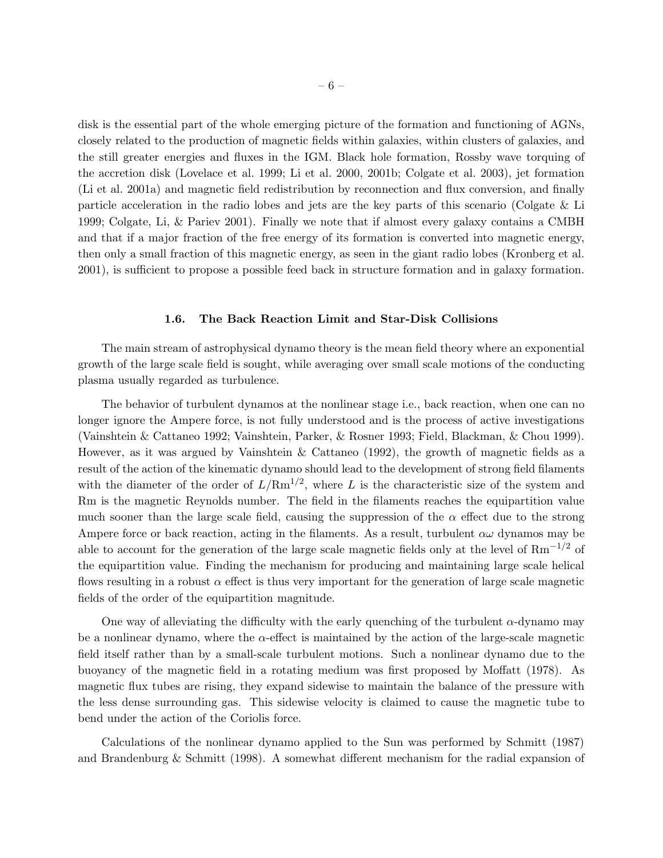disk is the essential part of the whole emerging picture of the formation and functioning of AGNs, closely related to the production of magnetic fields within galaxies, within clusters of galaxies, and the still greater energies and fluxes in the IGM. Black hole formation, Rossby wave torquing of the accretion disk (Lovelace et al. 1999; Li et al. 2000, 2001b; Colgate et al. 2003), jet formation (Li et al. 2001a) and magnetic field redistribution by reconnection and flux conversion, and finally particle acceleration in the radio lobes and jets are the key parts of this scenario (Colgate & Li 1999; Colgate, Li, & Pariev 2001). Finally we note that if almost every galaxy contains a CMBH and that if a major fraction of the free energy of its formation is converted into magnetic energy, then only a small fraction of this magnetic energy, as seen in the giant radio lobes (Kronberg et al. 2001), is sufficient to propose a possible feed back in structure formation and in galaxy formation.

# 1.6. The Back Reaction Limit and Star-Disk Collisions

The main stream of astrophysical dynamo theory is the mean field theory where an exponential growth of the large scale field is sought, while averaging over small scale motions of the conducting plasma usually regarded as turbulence.

The behavior of turbulent dynamos at the nonlinear stage i.e., back reaction, when one can no longer ignore the Ampere force, is not fully understood and is the process of active investigations (Vainshtein & Cattaneo 1992; Vainshtein, Parker, & Rosner 1993; Field, Blackman, & Chou 1999). However, as it was argued by Vainshtein & Cattaneo (1992), the growth of magnetic fields as a result of the action of the kinematic dynamo should lead to the development of strong field filaments with the diameter of the order of  $L/Rm^{1/2}$ , where L is the characteristic size of the system and Rm is the magnetic Reynolds number. The field in the filaments reaches the equipartition value much sooner than the large scale field, causing the suppression of the  $\alpha$  effect due to the strong Ampere force or back reaction, acting in the filaments. As a result, turbulent  $\alpha\omega$  dynamos may be able to account for the generation of the large scale magnetic fields only at the level of  $\text{Rm}^{-1/2}$  of the equipartition value. Finding the mechanism for producing and maintaining large scale helical flows resulting in a robust  $\alpha$  effect is thus very important for the generation of large scale magnetic fields of the order of the equipartition magnitude.

One way of alleviating the difficulty with the early quenching of the turbulent  $\alpha$ -dynamo may be a nonlinear dynamo, where the  $\alpha$ -effect is maintained by the action of the large-scale magnetic field itself rather than by a small-scale turbulent motions. Such a nonlinear dynamo due to the buoyancy of the magnetic field in a rotating medium was first proposed by Moffatt (1978). As magnetic flux tubes are rising, they expand sidewise to maintain the balance of the pressure with the less dense surrounding gas. This sidewise velocity is claimed to cause the magnetic tube to bend under the action of the Coriolis force.

Calculations of the nonlinear dynamo applied to the Sun was performed by Schmitt (1987) and Brandenburg & Schmitt (1998). A somewhat different mechanism for the radial expansion of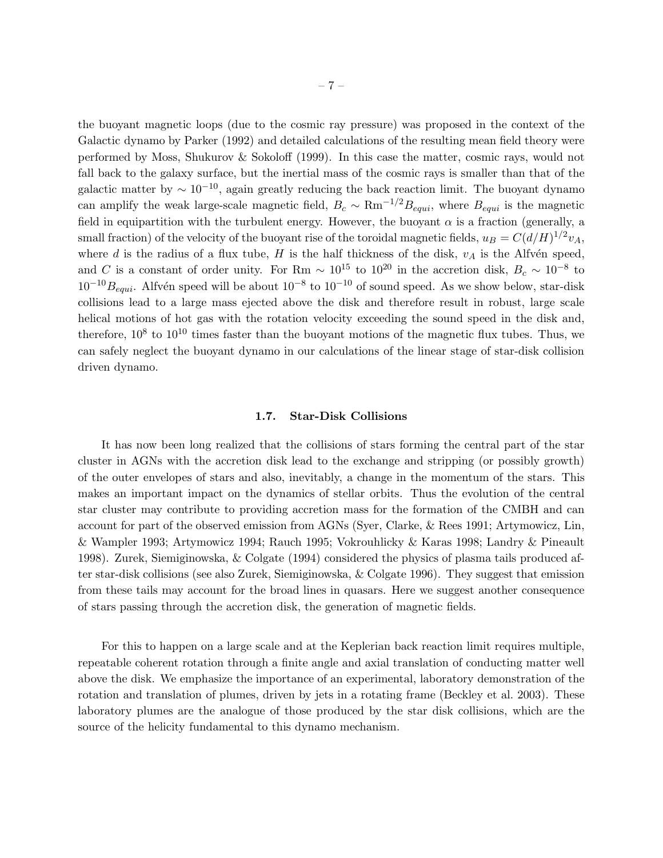the buoyant magnetic loops (due to the cosmic ray pressure) was proposed in the context of the Galactic dynamo by Parker (1992) and detailed calculations of the resulting mean field theory were performed by Moss, Shukurov & Sokoloff (1999). In this case the matter, cosmic rays, would not fall back to the galaxy surface, but the inertial mass of the cosmic rays is smaller than that of the galactic matter by  $\sim 10^{-10}$ , again greatly reducing the back reaction limit. The buoyant dynamo can amplify the weak large-scale magnetic field,  $B_c \sim \text{Rm}^{-1/2} B_{equi}$ , where  $B_{equi}$  is the magnetic field in equipartition with the turbulent energy. However, the buoyant  $\alpha$  is a fraction (generally, a small fraction) of the velocity of the buoyant rise of the toroidal magnetic fields,  $u_B = C(d/H)^{1/2}v_A$ , where d is the radius of a flux tube,  $H$  is the half thickness of the disk,  $v_A$  is the Alfvén speed, and C is a constant of order unity. For Rm  $\sim 10^{15}$  to  $10^{20}$  in the accretion disk,  $B_c \sim 10^{-8}$  to  $10^{-10}B_{equi}$ . Alfvén speed will be about  $10^{-8}$  to  $10^{-10}$  of sound speed. As we show below, star-disk collisions lead to a large mass ejected above the disk and therefore result in robust, large scale helical motions of hot gas with the rotation velocity exceeding the sound speed in the disk and, therefore,  $10^8$  to  $10^{10}$  times faster than the buoyant motions of the magnetic flux tubes. Thus, we can safely neglect the buoyant dynamo in our calculations of the linear stage of star-disk collision driven dynamo.

# 1.7. Star-Disk Collisions

It has now been long realized that the collisions of stars forming the central part of the star cluster in AGNs with the accretion disk lead to the exchange and stripping (or possibly growth) of the outer envelopes of stars and also, inevitably, a change in the momentum of the stars. This makes an important impact on the dynamics of stellar orbits. Thus the evolution of the central star cluster may contribute to providing accretion mass for the formation of the CMBH and can account for part of the observed emission from AGNs (Syer, Clarke, & Rees 1991; Artymowicz, Lin, & Wampler 1993; Artymowicz 1994; Rauch 1995; Vokrouhlicky & Karas 1998; Landry & Pineault 1998). Zurek, Siemiginowska, & Colgate (1994) considered the physics of plasma tails produced after star-disk collisions (see also Zurek, Siemiginowska, & Colgate 1996). They suggest that emission from these tails may account for the broad lines in quasars. Here we suggest another consequence of stars passing through the accretion disk, the generation of magnetic fields.

For this to happen on a large scale and at the Keplerian back reaction limit requires multiple, repeatable coherent rotation through a finite angle and axial translation of conducting matter well above the disk. We emphasize the importance of an experimental, laboratory demonstration of the rotation and translation of plumes, driven by jets in a rotating frame (Beckley et al. 2003). These laboratory plumes are the analogue of those produced by the star disk collisions, which are the source of the helicity fundamental to this dynamo mechanism.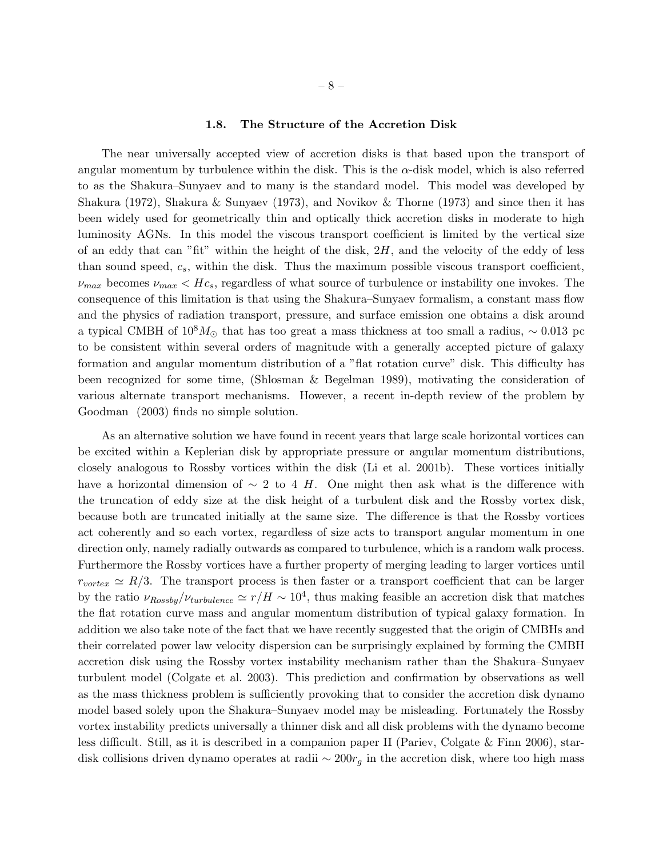## 1.8. The Structure of the Accretion Disk

The near universally accepted view of accretion disks is that based upon the transport of angular momentum by turbulence within the disk. This is the  $\alpha$ -disk model, which is also referred to as the Shakura–Sunyaev and to many is the standard model. This model was developed by Shakura (1972), Shakura & Sunyaev (1973), and Novikov & Thorne (1973) and since then it has been widely used for geometrically thin and optically thick accretion disks in moderate to high luminosity AGNs. In this model the viscous transport coefficient is limited by the vertical size of an eddy that can "fit" within the height of the disk,  $2H$ , and the velocity of the eddy of less than sound speed,  $c_s$ , within the disk. Thus the maximum possible viscous transport coefficient,  $\nu_{max}$  becomes  $\nu_{max}$  <  $Hc_s$ , regardless of what source of turbulence or instability one invokes. The consequence of this limitation is that using the Shakura–Sunyaev formalism, a constant mass flow and the physics of radiation transport, pressure, and surface emission one obtains a disk around a typical CMBH of  $10^8 M_{\odot}$  that has too great a mass thickness at too small a radius, ~ 0.013 pc to be consistent within several orders of magnitude with a generally accepted picture of galaxy formation and angular momentum distribution of a "flat rotation curve" disk. This difficulty has been recognized for some time, (Shlosman & Begelman 1989), motivating the consideration of various alternate transport mechanisms. However, a recent in-depth review of the problem by Goodman (2003) finds no simple solution.

As an alternative solution we have found in recent years that large scale horizontal vortices can be excited within a Keplerian disk by appropriate pressure or angular momentum distributions, closely analogous to Rossby vortices within the disk (Li et al. 2001b). These vortices initially have a horizontal dimension of  $\sim$  2 to 4 H. One might then ask what is the difference with the truncation of eddy size at the disk height of a turbulent disk and the Rossby vortex disk, because both are truncated initially at the same size. The difference is that the Rossby vortices act coherently and so each vortex, regardless of size acts to transport angular momentum in one direction only, namely radially outwards as compared to turbulence, which is a random walk process. Furthermore the Rossby vortices have a further property of merging leading to larger vortices until  $r_{vortex} \simeq R/3$ . The transport process is then faster or a transport coefficient that can be larger by the ratio  $\nu_{Rossby}/\nu_{turbulence} \simeq r/H \sim 10^4$ , thus making feasible an accretion disk that matches the flat rotation curve mass and angular momentum distribution of typical galaxy formation. In addition we also take note of the fact that we have recently suggested that the origin of CMBHs and their correlated power law velocity dispersion can be surprisingly explained by forming the CMBH accretion disk using the Rossby vortex instability mechanism rather than the Shakura–Sunyaev turbulent model (Colgate et al. 2003). This prediction and confirmation by observations as well as the mass thickness problem is sufficiently provoking that to consider the accretion disk dynamo model based solely upon the Shakura–Sunyaev model may be misleading. Fortunately the Rossby vortex instability predicts universally a thinner disk and all disk problems with the dynamo become less difficult. Still, as it is described in a companion paper II (Pariev, Colgate & Finn 2006), stardisk collisions driven dynamo operates at radii  $\sim 200r_g$  in the accretion disk, where too high mass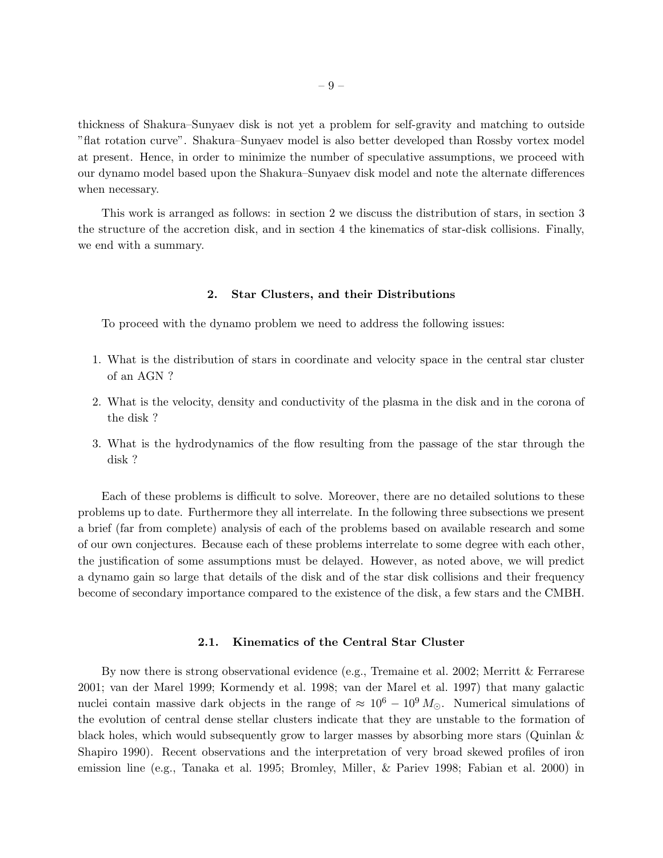thickness of Shakura–Sunyaev disk is not yet a problem for self-gravity and matching to outside "flat rotation curve". Shakura–Sunyaev model is also better developed than Rossby vortex model at present. Hence, in order to minimize the number of speculative assumptions, we proceed with our dynamo model based upon the Shakura–Sunyaev disk model and note the alternate differences when necessary.

This work is arranged as follows: in section 2 we discuss the distribution of stars, in section 3 the structure of the accretion disk, and in section 4 the kinematics of star-disk collisions. Finally, we end with a summary.

### 2. Star Clusters, and their Distributions

To proceed with the dynamo problem we need to address the following issues:

- 1. What is the distribution of stars in coordinate and velocity space in the central star cluster of an AGN ?
- 2. What is the velocity, density and conductivity of the plasma in the disk and in the corona of the disk ?
- 3. What is the hydrodynamics of the flow resulting from the passage of the star through the disk ?

Each of these problems is difficult to solve. Moreover, there are no detailed solutions to these problems up to date. Furthermore they all interrelate. In the following three subsections we present a brief (far from complete) analysis of each of the problems based on available research and some of our own conjectures. Because each of these problems interrelate to some degree with each other, the justification of some assumptions must be delayed. However, as noted above, we will predict a dynamo gain so large that details of the disk and of the star disk collisions and their frequency become of secondary importance compared to the existence of the disk, a few stars and the CMBH.

# 2.1. Kinematics of the Central Star Cluster

By now there is strong observational evidence (e.g., Tremaine et al. 2002; Merritt & Ferrarese 2001; van der Marel 1999; Kormendy et al. 1998; van der Marel et al. 1997) that many galactic nuclei contain massive dark objects in the range of  $\approx 10^6 - 10^9 M_{\odot}$ . Numerical simulations of the evolution of central dense stellar clusters indicate that they are unstable to the formation of black holes, which would subsequently grow to larger masses by absorbing more stars (Quinlan & Shapiro 1990). Recent observations and the interpretation of very broad skewed profiles of iron emission line (e.g., Tanaka et al. 1995; Bromley, Miller, & Pariev 1998; Fabian et al. 2000) in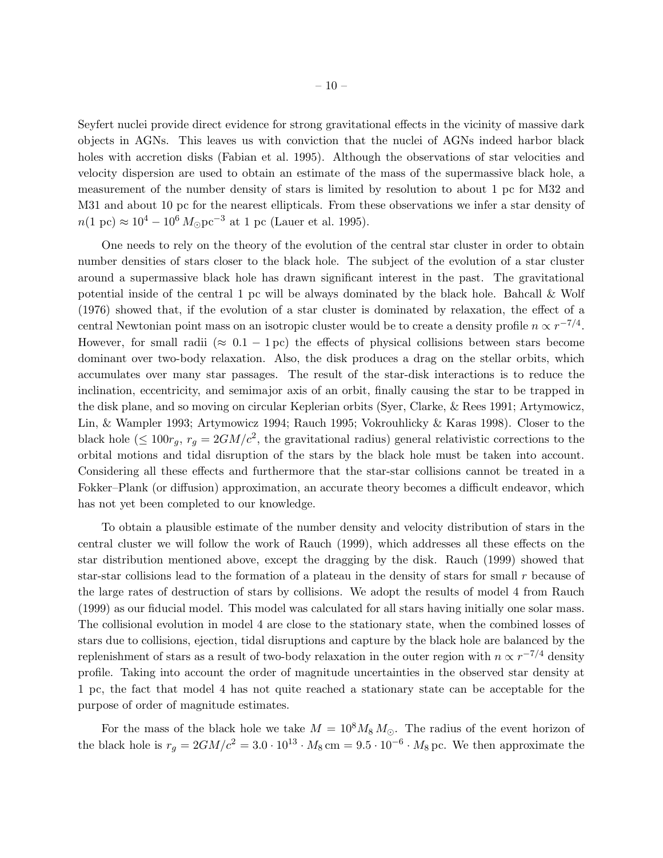Seyfert nuclei provide direct evidence for strong gravitational effects in the vicinity of massive dark objects in AGNs. This leaves us with conviction that the nuclei of AGNs indeed harbor black holes with accretion disks (Fabian et al. 1995). Although the observations of star velocities and velocity dispersion are used to obtain an estimate of the mass of the supermassive black hole, a measurement of the number density of stars is limited by resolution to about 1 pc for M32 and M31 and about 10 pc for the nearest ellipticals. From these observations we infer a star density of  $n(1~\text{pc}) \approx 10^4 - 10^6 M_{\odot} \text{pc}^{-3}$  at 1 pc (Lauer et al. 1995).

One needs to rely on the theory of the evolution of the central star cluster in order to obtain number densities of stars closer to the black hole. The subject of the evolution of a star cluster around a supermassive black hole has drawn significant interest in the past. The gravitational potential inside of the central 1 pc will be always dominated by the black hole. Bahcall & Wolf (1976) showed that, if the evolution of a star cluster is dominated by relaxation, the effect of a central Newtonian point mass on an isotropic cluster would be to create a density profile  $n \propto r^{-7/4}$ . However, for small radii ( $\approx 0.1 - 1 \text{ pc}$ ) the effects of physical collisions between stars become dominant over two-body relaxation. Also, the disk produces a drag on the stellar orbits, which accumulates over many star passages. The result of the star-disk interactions is to reduce the inclination, eccentricity, and semimajor axis of an orbit, finally causing the star to be trapped in the disk plane, and so moving on circular Keplerian orbits (Syer, Clarke, & Rees 1991; Artymowicz, Lin, & Wampler 1993; Artymowicz 1994; Rauch 1995; Vokrouhlicky & Karas 1998). Closer to the black hole ( $\leq 100r_g$ ,  $r_g = 2GM/c^2$ , the gravitational radius) general relativistic corrections to the orbital motions and tidal disruption of the stars by the black hole must be taken into account. Considering all these effects and furthermore that the star-star collisions cannot be treated in a Fokker–Plank (or diffusion) approximation, an accurate theory becomes a difficult endeavor, which has not yet been completed to our knowledge.

To obtain a plausible estimate of the number density and velocity distribution of stars in the central cluster we will follow the work of Rauch (1999), which addresses all these effects on the star distribution mentioned above, except the dragging by the disk. Rauch (1999) showed that star-star collisions lead to the formation of a plateau in the density of stars for small r because of the large rates of destruction of stars by collisions. We adopt the results of model 4 from Rauch (1999) as our fiducial model. This model was calculated for all stars having initially one solar mass. The collisional evolution in model 4 are close to the stationary state, when the combined losses of stars due to collisions, ejection, tidal disruptions and capture by the black hole are balanced by the replenishment of stars as a result of two-body relaxation in the outer region with  $n \propto r^{-7/4}$  density profile. Taking into account the order of magnitude uncertainties in the observed star density at 1 pc, the fact that model 4 has not quite reached a stationary state can be acceptable for the purpose of order of magnitude estimates.

For the mass of the black hole we take  $M = 10^8 M_8 M_{\odot}$ . The radius of the event horizon of the black hole is  $r_g = 2GM/c^2 = 3.0 \cdot 10^{13} \cdot M_8 \text{ cm} = 9.5 \cdot 10^{-6} \cdot M_8 \text{ pc}$ . We then approximate the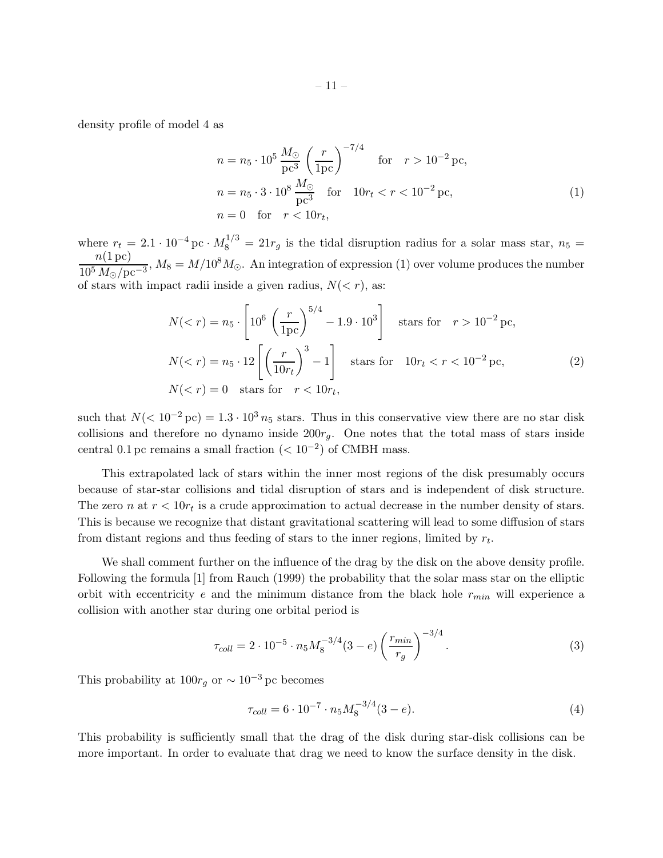density profile of model 4 as

$$
n = n_5 \cdot 10^5 \frac{M_{\odot}}{\text{pc}^3} \left(\frac{r}{1\text{pc}}\right)^{-7/4} \quad \text{for} \quad r > 10^{-2} \text{pc},
$$
  
\n
$$
n = n_5 \cdot 3 \cdot 10^8 \frac{M_{\odot}}{\text{pc}^3} \quad \text{for} \quad 10r_t < r < 10^{-2} \text{pc},
$$
  
\n
$$
n = 0 \quad \text{for} \quad r < 10r_t,
$$
 (1)

where  $r_t = 2.1 \cdot 10^{-4}$  pc ·  $M_8^{1/3} = 21r_g$  is the tidal disruption radius for a solar mass star,  $n_5 =$  $n(1\,\mathrm{pc})$  $\frac{n(1\,\text{pc})}{10^5\,M_{\odot}/\text{pc}^{-3}}$ ,  $M_8 = M/10^8M_{\odot}$ . An integration of expression (1) over volume produces the number of stars with impact radii inside a given radius,  $N(\langle r \rangle)$ , as:

$$
N( 10^{-2} \text{ pc},
$$
  

$$
N(  

$$
N( (2)
$$
$$

such that  $N(< 10^{-2} \text{ pc}) = 1.3 \cdot 10^3 n_5$  stars. Thus in this conservative view there are no star disk collisions and therefore no dynamo inside  $200r<sub>g</sub>$ . One notes that the total mass of stars inside central 0.1 pc remains a small fraction  $(< 10^{-2}$ ) of CMBH mass.

This extrapolated lack of stars within the inner most regions of the disk presumably occurs because of star-star collisions and tidal disruption of stars and is independent of disk structure. The zero *n* at  $r < 10r_t$  is a crude approximation to actual decrease in the number density of stars. This is because we recognize that distant gravitational scattering will lead to some diffusion of stars from distant regions and thus feeding of stars to the inner regions, limited by  $r_t$ .

We shall comment further on the influence of the drag by the disk on the above density profile. Following the formula [1] from Rauch (1999) the probability that the solar mass star on the elliptic orbit with eccentricity e and the minimum distance from the black hole  $r_{min}$  will experience a collision with another star during one orbital period is

$$
\tau_{coll} = 2 \cdot 10^{-5} \cdot n_5 M_8^{-3/4} (3 - e) \left(\frac{r_{min}}{r_g}\right)^{-3/4}.
$$
\n(3)

This probability at  $100r_g$  or  $\sim 10^{-3}$  pc becomes

$$
\tau_{coll} = 6 \cdot 10^{-7} \cdot n_5 M_8^{-3/4} (3 - e). \tag{4}
$$

This probability is sufficiently small that the drag of the disk during star-disk collisions can be more important. In order to evaluate that drag we need to know the surface density in the disk.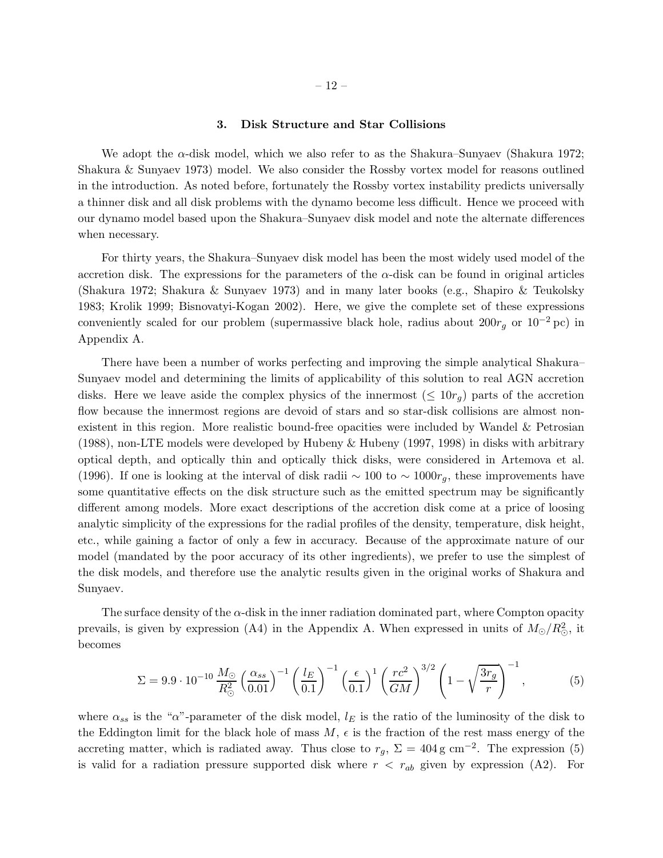# 3. Disk Structure and Star Collisions

We adopt the  $\alpha$ -disk model, which we also refer to as the Shakura–Sunyaev (Shakura 1972; Shakura & Sunyaev 1973) model. We also consider the Rossby vortex model for reasons outlined in the introduction. As noted before, fortunately the Rossby vortex instability predicts universally a thinner disk and all disk problems with the dynamo become less difficult. Hence we proceed with our dynamo model based upon the Shakura–Sunyaev disk model and note the alternate differences when necessary.

For thirty years, the Shakura–Sunyaev disk model has been the most widely used model of the accretion disk. The expressions for the parameters of the  $\alpha$ -disk can be found in original articles (Shakura 1972; Shakura & Sunyaev 1973) and in many later books (e.g., Shapiro & Teukolsky 1983; Krolik 1999; Bisnovatyi-Kogan 2002). Here, we give the complete set of these expressions conveniently scaled for our problem (supermassive black hole, radius about  $200r<sub>g</sub>$  or  $10<sup>-2</sup>$  pc) in Appendix A.

There have been a number of works perfecting and improving the simple analytical Shakura– Sunyaev model and determining the limits of applicability of this solution to real AGN accretion disks. Here we leave aside the complex physics of the innermost  $(\leq 10r_q)$  parts of the accretion flow because the innermost regions are devoid of stars and so star-disk collisions are almost nonexistent in this region. More realistic bound-free opacities were included by Wandel & Petrosian (1988), non-LTE models were developed by Hubeny & Hubeny (1997, 1998) in disks with arbitrary optical depth, and optically thin and optically thick disks, were considered in Artemova et al. (1996). If one is looking at the interval of disk radii  $\sim 100$  to  $\sim 1000r_g$ , these improvements have some quantitative effects on the disk structure such as the emitted spectrum may be significantly different among models. More exact descriptions of the accretion disk come at a price of loosing analytic simplicity of the expressions for the radial profiles of the density, temperature, disk height, etc., while gaining a factor of only a few in accuracy. Because of the approximate nature of our model (mandated by the poor accuracy of its other ingredients), we prefer to use the simplest of the disk models, and therefore use the analytic results given in the original works of Shakura and Sunyaev.

The surface density of the  $\alpha$ -disk in the inner radiation dominated part, where Compton opacity prevails, is given by expression (A4) in the Appendix A. When expressed in units of  $M_{\odot}/R_{\odot}^2$ , it becomes

$$
\Sigma = 9.9 \cdot 10^{-10} \frac{M_{\odot}}{R_{\odot}^2} \left(\frac{\alpha_{ss}}{0.01}\right)^{-1} \left(\frac{l_E}{0.1}\right)^{-1} \left(\frac{\epsilon}{0.1}\right)^1 \left(\frac{rc^2}{GM}\right)^{3/2} \left(1 - \sqrt{\frac{3r_g}{r}}\right)^{-1},\tag{5}
$$

where  $\alpha_{ss}$  is the " $\alpha$ "-parameter of the disk model,  $l_E$  is the ratio of the luminosity of the disk to the Eddington limit for the black hole of mass  $M$ ,  $\epsilon$  is the fraction of the rest mass energy of the accreting matter, which is radiated away. Thus close to  $r_g$ ,  $\Sigma = 404 \text{ g cm}^{-2}$ . The expression (5) is valid for a radiation pressure supported disk where  $r < r_{ab}$  given by expression (A2). For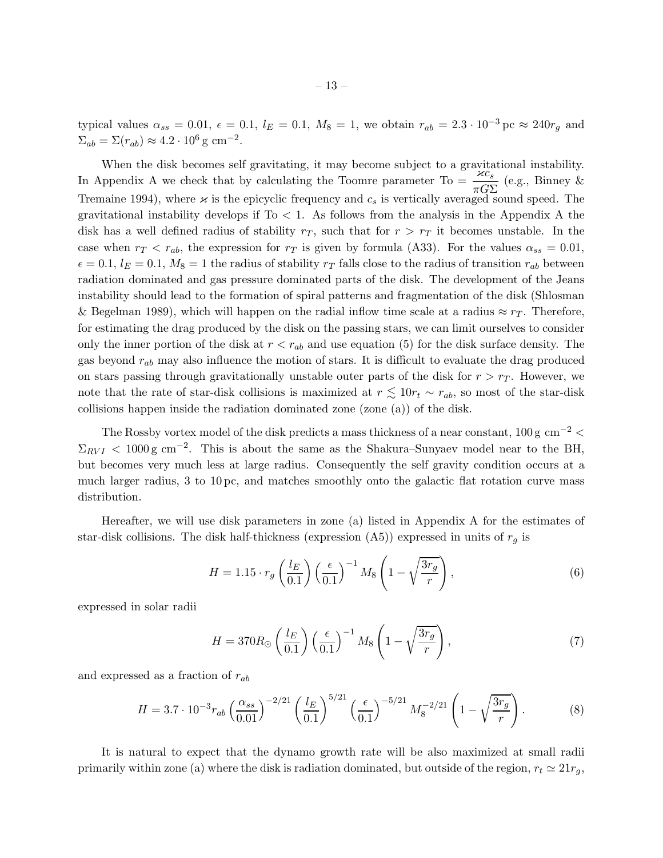typical values  $\alpha_{ss} = 0.01, \ \epsilon = 0.1, \ l_E = 0.1, \ M_8 = 1$ , we obtain  $r_{ab} = 2.3 \cdot 10^{-3}$  pc  $\approx 240r_g$  and  $\Sigma_{ab} = \Sigma(r_{ab}) \approx 4.2 \cdot 10^6 \,\text{g cm}^{-2}.$ 

When the disk becomes self gravitating, it may become subject to a gravitational instability. When the task becomes sen gravitating, it may become subject to a gravitational instability.<br>In Appendix A we check that by calculating the Toomre parameter To =  $\frac{\varkappa c_s}{\pi G\Sigma}$  (e.g., Binney & Tremaine 1994), where  $\varkappa$  is the epicyclic frequency and  $c_s$  is vertically averaged sound speed. The gravitational instability develops if  $To < 1$ . As follows from the analysis in the Appendix A the disk has a well defined radius of stability  $r<sub>T</sub>$ , such that for  $r > r<sub>T</sub>$  it becomes unstable. In the case when  $r_T < r_{ab}$ , the expression for  $r_T$  is given by formula (A33). For the values  $\alpha_{ss} = 0.01$ ,  $\epsilon = 0.1, l_E = 0.1, M_8 = 1$  the radius of stability  $r_T$  falls close to the radius of transition  $r_{ab}$  between radiation dominated and gas pressure dominated parts of the disk. The development of the Jeans instability should lead to the formation of spiral patterns and fragmentation of the disk (Shlosman & Begelman 1989), which will happen on the radial inflow time scale at a radius  $\approx r_T$ . Therefore, for estimating the drag produced by the disk on the passing stars, we can limit ourselves to consider only the inner portion of the disk at  $r < r_{ab}$  and use equation (5) for the disk surface density. The gas beyond  $r_{ab}$  may also influence the motion of stars. It is difficult to evaluate the drag produced on stars passing through gravitationally unstable outer parts of the disk for  $r > r<sub>T</sub>$ . However, we note that the rate of star-disk collisions is maximized at  $r \lesssim 10r_t \sim r_{ab}$ , so most of the star-disk collisions happen inside the radiation dominated zone (zone (a)) of the disk.

The Rossby vortex model of the disk predicts a mass thickness of a near constant,  $100 g \text{ cm}^{-2}$  $\Sigma_{RVI}$  < 1000 g cm<sup>-2</sup>. This is about the same as the Shakura–Sunyaev model near to the BH, but becomes very much less at large radius. Consequently the self gravity condition occurs at a much larger radius, 3 to 10 pc, and matches smoothly onto the galactic flat rotation curve mass distribution.

Hereafter, we will use disk parameters in zone (a) listed in Appendix A for the estimates of star-disk collisions. The disk half-thickness (expression  $(A5)$ ) expressed in units of  $r<sub>q</sub>$  is

$$
H = 1.15 \cdot r_g \left(\frac{l_E}{0.1}\right) \left(\frac{\epsilon}{0.1}\right)^{-1} M_8 \left(1 - \sqrt{\frac{3r_g}{r}}\right),\tag{6}
$$

expressed in solar radii

$$
H = 370R_{\odot} \left(\frac{l_E}{0.1}\right) \left(\frac{\epsilon}{0.1}\right)^{-1} M_8 \left(1 - \sqrt{\frac{3r_g}{r}}\right),\tag{7}
$$

and expressed as a fraction of  $r_{ab}$ 

$$
H = 3.7 \cdot 10^{-3} r_{ab} \left(\frac{\alpha_{ss}}{0.01}\right)^{-2/21} \left(\frac{l_E}{0.1}\right)^{5/21} \left(\frac{\epsilon}{0.1}\right)^{-5/21} M_8^{-2/21} \left(1 - \sqrt{\frac{3r_g}{r}}\right). \tag{8}
$$

It is natural to expect that the dynamo growth rate will be also maximized at small radii primarily within zone (a) where the disk is radiation dominated, but outside of the region,  $r_t \simeq 21r_q$ ,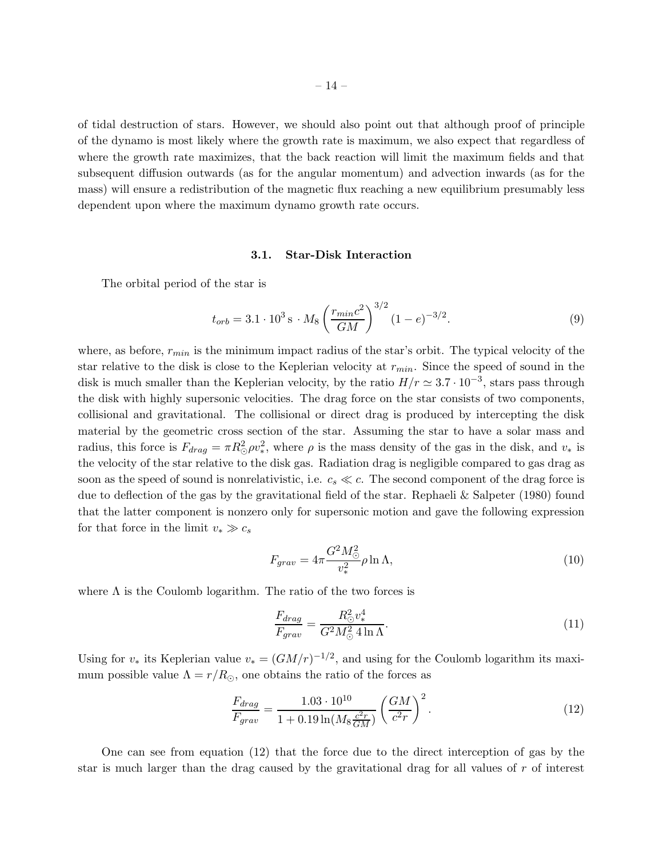of tidal destruction of stars. However, we should also point out that although proof of principle of the dynamo is most likely where the growth rate is maximum, we also expect that regardless of where the growth rate maximizes, that the back reaction will limit the maximum fields and that subsequent diffusion outwards (as for the angular momentum) and advection inwards (as for the mass) will ensure a redistribution of the magnetic flux reaching a new equilibrium presumably less dependent upon where the maximum dynamo growth rate occurs.

#### 3.1. Star-Disk Interaction

The orbital period of the star is

$$
t_{orb} = 3.1 \cdot 10^3 \,\mathrm{s} \cdot M_8 \left(\frac{r_{min} c^2}{GM}\right)^{3/2} (1 - e)^{-3/2}.\tag{9}
$$

where, as before,  $r_{min}$  is the minimum impact radius of the star's orbit. The typical velocity of the star relative to the disk is close to the Keplerian velocity at  $r_{min}$ . Since the speed of sound in the disk is much smaller than the Keplerian velocity, by the ratio  $H/r \simeq 3.7 \cdot 10^{-3}$ , stars pass through the disk with highly supersonic velocities. The drag force on the star consists of two components, collisional and gravitational. The collisional or direct drag is produced by intercepting the disk material by the geometric cross section of the star. Assuming the star to have a solar mass and radius, this force is  $F_{drag} = \pi R_{\odot}^2 \rho v_*^2$ , where  $\rho$  is the mass density of the gas in the disk, and  $v_*$  is the velocity of the star relative to the disk gas. Radiation drag is negligible compared to gas drag as soon as the speed of sound is nonrelativistic, i.e.  $c_s \ll c$ . The second component of the drag force is due to deflection of the gas by the gravitational field of the star. Rephaeli & Salpeter (1980) found that the latter component is nonzero only for supersonic motion and gave the following expression for that force in the limit  $v_* \gg c_s$ 

$$
F_{grav} = 4\pi \frac{G^2 M_{\odot}^2}{v_*^2} \rho \ln \Lambda,\tag{10}
$$

where  $\Lambda$  is the Coulomb logarithm. The ratio of the two forces is

$$
\frac{F_{drag}}{F_{grav}} = \frac{R_{\odot}^2 v_*^4}{G^2 M_{\odot}^2 4 \ln \Lambda}.
$$
\n(11)

Using for  $v_*$  its Keplerian value  $v_* = (GM/r)^{-1/2}$ , and using for the Coulomb logarithm its maximum possible value  $\Lambda = r/R_{\odot}$ , one obtains the ratio of the forces as

$$
\frac{F_{drag}}{F_{grav}} = \frac{1.03 \cdot 10^{10}}{1 + 0.19 \ln(M_8 \frac{c^2 r}{GM})} \left(\frac{GM}{c^2 r}\right)^2.
$$
\n(12)

One can see from equation (12) that the force due to the direct interception of gas by the star is much larger than the drag caused by the gravitational drag for all values of r of interest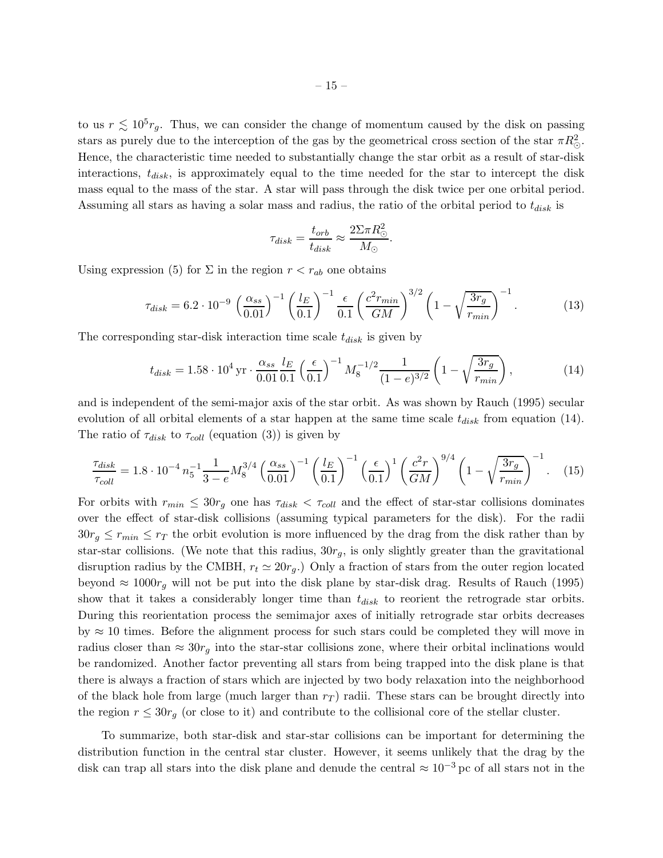to us  $r \lesssim 10^5 r_g$ . Thus, we can consider the change of momentum caused by the disk on passing stars as purely due to the interception of the gas by the geometrical cross section of the star  $\pi R_{\odot}^2$ . Hence, the characteristic time needed to substantially change the star orbit as a result of star-disk interactions,  $t_{disk}$ , is approximately equal to the time needed for the star to intercept the disk mass equal to the mass of the star. A star will pass through the disk twice per one orbital period. Assuming all stars as having a solar mass and radius, the ratio of the orbital period to  $t_{disk}$  is

$$
\tau_{disk} = \frac{t_{orb}}{t_{disk}} \approx \frac{2\Sigma \pi R_{\odot}^2}{M_{\odot}}.
$$

Using expression (5) for  $\Sigma$  in the region  $r < r_{ab}$  one obtains

$$
\tau_{disk} = 6.2 \cdot 10^{-9} \left(\frac{\alpha_{ss}}{0.01}\right)^{-1} \left(\frac{l_E}{0.1}\right)^{-1} \frac{\epsilon}{0.1} \left(\frac{c^2 r_{min}}{GM}\right)^{3/2} \left(1 - \sqrt{\frac{3r_g}{r_{min}}}\right)^{-1}.
$$
 (13)

The corresponding star-disk interaction time scale  $t_{disk}$  is given by

$$
t_{disk} = 1.58 \cdot 10^4 \,\text{yr} \cdot \frac{\alpha_{ss}}{0.01} \frac{l_E}{0.1} \left(\frac{\epsilon}{0.1}\right)^{-1} M_8^{-1/2} \frac{1}{(1-e)^{3/2}} \left(1 - \sqrt{\frac{3r_g}{r_{min}}}\right),\tag{14}
$$

and is independent of the semi-major axis of the star orbit. As was shown by Rauch (1995) secular evolution of all orbital elements of a star happen at the same time scale  $t_{disk}$  from equation (14). The ratio of  $\tau_{disk}$  to  $\tau_{coll}$  (equation (3)) is given by

$$
\frac{\tau_{disk}}{\tau_{coll}} = 1.8 \cdot 10^{-4} n_5^{-1} \frac{1}{3 - e} M_8^{3/4} \left(\frac{\alpha_{ss}}{0.01}\right)^{-1} \left(\frac{l_E}{0.1}\right)^{-1} \left(\frac{\epsilon}{0.1}\right)^1 \left(\frac{c^2 r}{GM}\right)^{9/4} \left(1 - \sqrt{\frac{3r_g}{r_{min}}}\right)^{-1}.
$$
 (15)

For orbits with  $r_{min} \leq 30r_g$  one has  $\tau_{disk} < \tau_{coll}$  and the effect of star-star collisions dominates over the effect of star-disk collisions (assuming typical parameters for the disk). For the radii  $30r<sub>g</sub> \leq r<sub>min</sub> \leq r<sub>T</sub>$  the orbit evolution is more influenced by the drag from the disk rather than by star-star collisions. (We note that this radius,  $30r<sub>g</sub>$ , is only slightly greater than the gravitational disruption radius by the CMBH,  $r_t \approx 20r_q$ .) Only a fraction of stars from the outer region located beyond  $\approx 1000r_g$  will not be put into the disk plane by star-disk drag. Results of Rauch (1995) show that it takes a considerably longer time than  $t_{disk}$  to reorient the retrograde star orbits. During this reorientation process the semimajor axes of initially retrograde star orbits decreases by  $\approx$  10 times. Before the alignment process for such stars could be completed they will move in radius closer than  $\approx 30r_g$  into the star-star collisions zone, where their orbital inclinations would be randomized. Another factor preventing all stars from being trapped into the disk plane is that there is always a fraction of stars which are injected by two body relaxation into the neighborhood of the black hole from large (much larger than  $r<sub>T</sub>$ ) radii. These stars can be brought directly into the region  $r \leq 30r_q$  (or close to it) and contribute to the collisional core of the stellar cluster.

To summarize, both star-disk and star-star collisions can be important for determining the distribution function in the central star cluster. However, it seems unlikely that the drag by the disk can trap all stars into the disk plane and denude the central  $\approx 10^{-3}$  pc of all stars not in the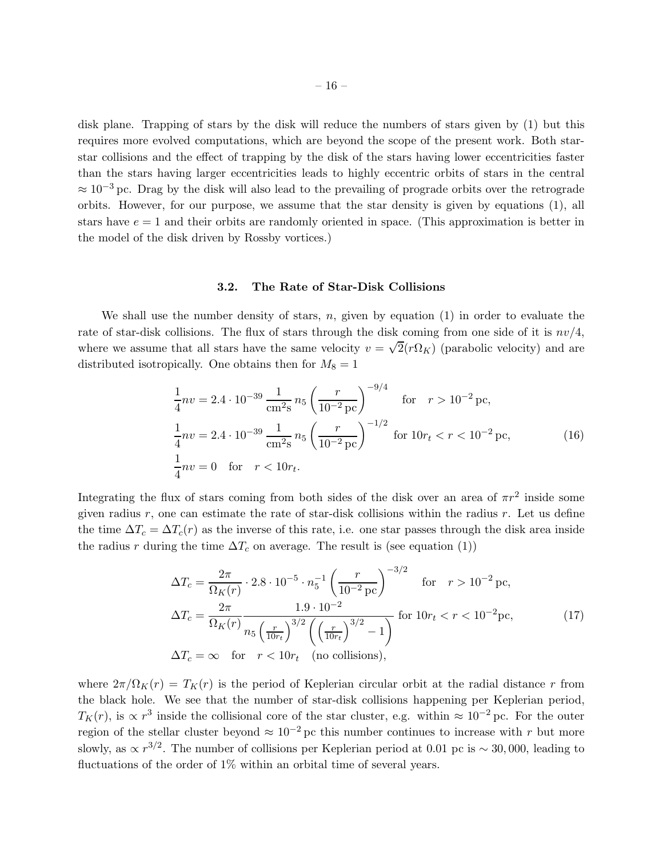disk plane. Trapping of stars by the disk will reduce the numbers of stars given by (1) but this requires more evolved computations, which are beyond the scope of the present work. Both starstar collisions and the effect of trapping by the disk of the stars having lower eccentricities faster than the stars having larger eccentricities leads to highly eccentric orbits of stars in the central  $\approx 10^{-3}$  pc. Drag by the disk will also lead to the prevailing of prograde orbits over the retrograde orbits. However, for our purpose, we assume that the star density is given by equations (1), all stars have  $e = 1$  and their orbits are randomly oriented in space. (This approximation is better in the model of the disk driven by Rossby vortices.)

# 3.2. The Rate of Star-Disk Collisions

We shall use the number density of stars,  $n$ , given by equation (1) in order to evaluate the rate of star-disk collisions. The flux of stars through the disk coming from one side of it is  $nv/4$ , where we assume that all stars have the same velocity  $v = \sqrt{2}(r\Omega_K)$  (parabolic velocity) and are distributed isotropically. One obtains then for  $M_8 = 1$ 

$$
\frac{1}{4}nv = 2.4 \cdot 10^{-39} \frac{1}{\text{cm}^2\text{s}} n_5 \left(\frac{r}{10^{-2} \text{pc}}\right)^{-9/4} \quad \text{for} \quad r > 10^{-2} \text{pc},
$$
\n
$$
\frac{1}{4}nv = 2.4 \cdot 10^{-39} \frac{1}{\text{cm}^2\text{s}} n_5 \left(\frac{r}{10^{-2} \text{pc}}\right)^{-1/2} \quad \text{for} \quad 10r_t < r < 10^{-2} \text{pc},
$$
\n
$$
\frac{1}{4}nv = 0 \quad \text{for} \quad r < 10r_t.
$$
\n(16)

Integrating the flux of stars coming from both sides of the disk over an area of  $\pi r^2$  inside some given radius  $r$ , one can estimate the rate of star-disk collisions within the radius  $r$ . Let us define the time  $\Delta T_c = \Delta T_c(r)$  as the inverse of this rate, i.e. one star passes through the disk area inside the radius r during the time  $\Delta T_c$  on average. The result is (see equation (1))

$$
\Delta T_c = \frac{2\pi}{\Omega_K(r)} \cdot 2.8 \cdot 10^{-5} \cdot n_5^{-1} \left(\frac{r}{10^{-2} \text{ pc}}\right)^{-3/2} \quad \text{for} \quad r > 10^{-2} \text{ pc},
$$
  
\n
$$
\Delta T_c = \frac{2\pi}{\Omega_K(r)} \frac{1.9 \cdot 10^{-2}}{n_5 \left(\frac{r}{10r_t}\right)^{3/2} \left(\left(\frac{r}{10r_t}\right)^{3/2} - 1\right)} \quad \text{for} \quad 10r_t < r < 10^{-2} \text{pc},
$$
  
\n
$$
\Delta T_c = \infty \quad \text{for} \quad r < 10r_t \quad \text{(no collisions)},
$$
\n(17)

where  $2\pi/\Omega_K(r) = T_K(r)$  is the period of Keplerian circular orbit at the radial distance r from the black hole. We see that the number of star-disk collisions happening per Keplerian period,  $T_K(r)$ , is  $\propto r^3$  inside the collisional core of the star cluster, e.g. within  $\approx 10^{-2}$  pc. For the outer region of the stellar cluster beyond  $\approx 10^{-2}$  pc this number continues to increase with r but more slowly, as  $\propto r^{3/2}$ . The number of collisions per Keplerian period at 0.01 pc is ~ 30,000, leading to fluctuations of the order of 1% within an orbital time of several years.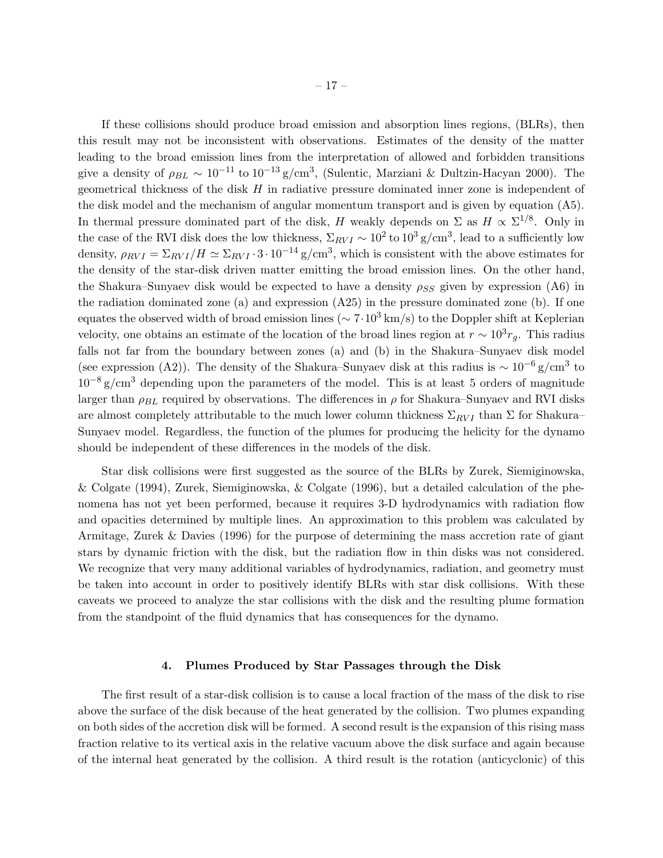If these collisions should produce broad emission and absorption lines regions, (BLRs), then this result may not be inconsistent with observations. Estimates of the density of the matter leading to the broad emission lines from the interpretation of allowed and forbidden transitions give a density of  $\rho_{BL} \sim 10^{-11}$  to  $10^{-13}$  g/cm<sup>3</sup>, (Sulentic, Marziani & Dultzin-Hacyan 2000). The geometrical thickness of the disk  $H$  in radiative pressure dominated inner zone is independent of the disk model and the mechanism of angular momentum transport and is given by equation (A5). In thermal pressure dominated part of the disk, H weakly depends on  $\Sigma$  as  $H \propto \Sigma^{1/8}$ . Only in the case of the RVI disk does the low thickness,  $\Sigma_{RVI} \sim 10^2$  to  $10^3$  g/cm<sup>3</sup>, lead to a sufficiently low density,  $\rho_{RVI} = \Sigma_{RVI}/H \simeq \Sigma_{RVI} \cdot 3 \cdot 10^{-14}$  g/cm<sup>3</sup>, which is consistent with the above estimates for the density of the star-disk driven matter emitting the broad emission lines. On the other hand, the Shakura–Sunyaev disk would be expected to have a density  $\rho_{SS}$  given by expression (A6) in the radiation dominated zone (a) and expression (A25) in the pressure dominated zone (b). If one equates the observed width of broad emission lines ( $\sim 7 \cdot 10^3$  km/s) to the Doppler shift at Keplerian velocity, one obtains an estimate of the location of the broad lines region at  $r \sim 10^3 r_g$ . This radius falls not far from the boundary between zones (a) and (b) in the Shakura–Sunyaev disk model (see expression (A2)). The density of the Shakura–Sunyaev disk at this radius is  $\sim 10^{-6}$  g/cm<sup>3</sup> to  $10^{-8}$  g/cm<sup>3</sup> depending upon the parameters of the model. This is at least 5 orders of magnitude larger than  $\rho_{BL}$  required by observations. The differences in  $\rho$  for Shakura–Sunyaev and RVI disks are almost completely attributable to the much lower column thickness  $\Sigma_{RVI}$  than  $\Sigma$  for Shakura– Sunyaev model. Regardless, the function of the plumes for producing the helicity for the dynamo should be independent of these differences in the models of the disk.

Star disk collisions were first suggested as the source of the BLRs by Zurek, Siemiginowska, & Colgate (1994), Zurek, Siemiginowska, & Colgate (1996), but a detailed calculation of the phenomena has not yet been performed, because it requires 3-D hydrodynamics with radiation flow and opacities determined by multiple lines. An approximation to this problem was calculated by Armitage, Zurek & Davies (1996) for the purpose of determining the mass accretion rate of giant stars by dynamic friction with the disk, but the radiation flow in thin disks was not considered. We recognize that very many additional variables of hydrodynamics, radiation, and geometry must be taken into account in order to positively identify BLRs with star disk collisions. With these caveats we proceed to analyze the star collisions with the disk and the resulting plume formation from the standpoint of the fluid dynamics that has consequences for the dynamo.

### 4. Plumes Produced by Star Passages through the Disk

The first result of a star-disk collision is to cause a local fraction of the mass of the disk to rise above the surface of the disk because of the heat generated by the collision. Two plumes expanding on both sides of the accretion disk will be formed. A second result is the expansion of this rising mass fraction relative to its vertical axis in the relative vacuum above the disk surface and again because of the internal heat generated by the collision. A third result is the rotation (anticyclonic) of this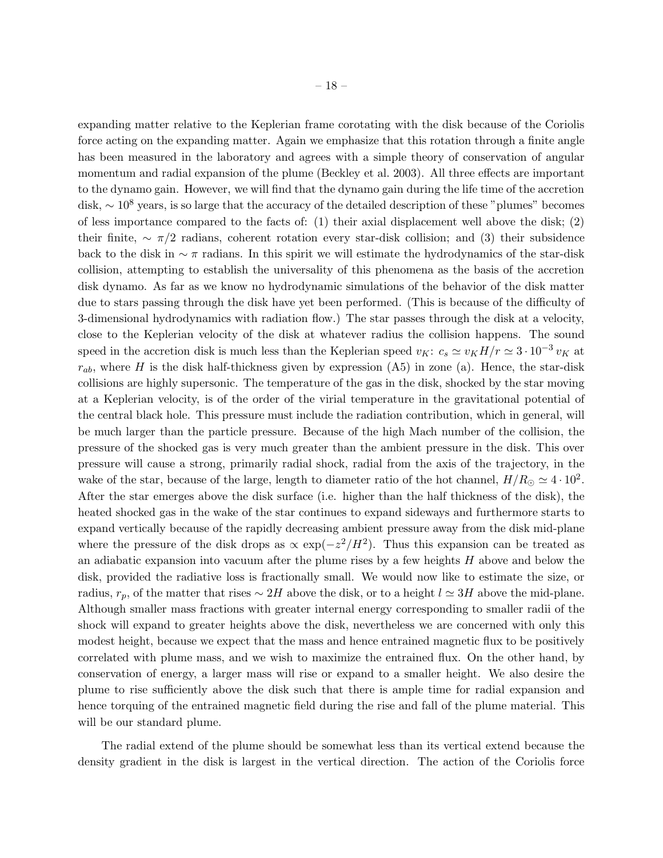expanding matter relative to the Keplerian frame corotating with the disk because of the Coriolis force acting on the expanding matter. Again we emphasize that this rotation through a finite angle has been measured in the laboratory and agrees with a simple theory of conservation of angular momentum and radial expansion of the plume (Beckley et al. 2003). All three effects are important to the dynamo gain. However, we will find that the dynamo gain during the life time of the accretion disk, <sup>∼</sup> <sup>10</sup><sup>8</sup> years, is so large that the accuracy of the detailed description of these "plumes" becomes of less importance compared to the facts of: (1) their axial displacement well above the disk; (2) their finite,  $\sim \pi/2$  radians, coherent rotation every star-disk collision; and (3) their subsidence back to the disk in  $\sim \pi$  radians. In this spirit we will estimate the hydrodynamics of the star-disk collision, attempting to establish the universality of this phenomena as the basis of the accretion disk dynamo. As far as we know no hydrodynamic simulations of the behavior of the disk matter due to stars passing through the disk have yet been performed. (This is because of the difficulty of 3-dimensional hydrodynamics with radiation flow.) The star passes through the disk at a velocity, close to the Keplerian velocity of the disk at whatever radius the collision happens. The sound speed in the accretion disk is much less than the Keplerian speed  $v_K: c_s \simeq v_K H/r \simeq 3 \cdot 10^{-3} v_K$  at  $r_{ab}$ , where H is the disk half-thickness given by expression (A5) in zone (a). Hence, the star-disk collisions are highly supersonic. The temperature of the gas in the disk, shocked by the star moving at a Keplerian velocity, is of the order of the virial temperature in the gravitational potential of the central black hole. This pressure must include the radiation contribution, which in general, will be much larger than the particle pressure. Because of the high Mach number of the collision, the pressure of the shocked gas is very much greater than the ambient pressure in the disk. This over pressure will cause a strong, primarily radial shock, radial from the axis of the trajectory, in the wake of the star, because of the large, length to diameter ratio of the hot channel,  $H/R_{\odot} \simeq 4 \cdot 10^2$ . After the star emerges above the disk surface (i.e. higher than the half thickness of the disk), the heated shocked gas in the wake of the star continues to expand sideways and furthermore starts to expand vertically because of the rapidly decreasing ambient pressure away from the disk mid-plane where the pressure of the disk drops as  $\propto \exp(-z^2/H^2)$ . Thus this expansion can be treated as an adiabatic expansion into vacuum after the plume rises by a few heights H above and below the disk, provided the radiative loss is fractionally small. We would now like to estimate the size, or radius,  $r_p$ , of the matter that rises  $\sim 2H$  above the disk, or to a height  $l \simeq 3H$  above the mid-plane. Although smaller mass fractions with greater internal energy corresponding to smaller radii of the shock will expand to greater heights above the disk, nevertheless we are concerned with only this modest height, because we expect that the mass and hence entrained magnetic flux to be positively correlated with plume mass, and we wish to maximize the entrained flux. On the other hand, by conservation of energy, a larger mass will rise or expand to a smaller height. We also desire the plume to rise sufficiently above the disk such that there is ample time for radial expansion and hence torquing of the entrained magnetic field during the rise and fall of the plume material. This will be our standard plume.

The radial extend of the plume should be somewhat less than its vertical extend because the density gradient in the disk is largest in the vertical direction. The action of the Coriolis force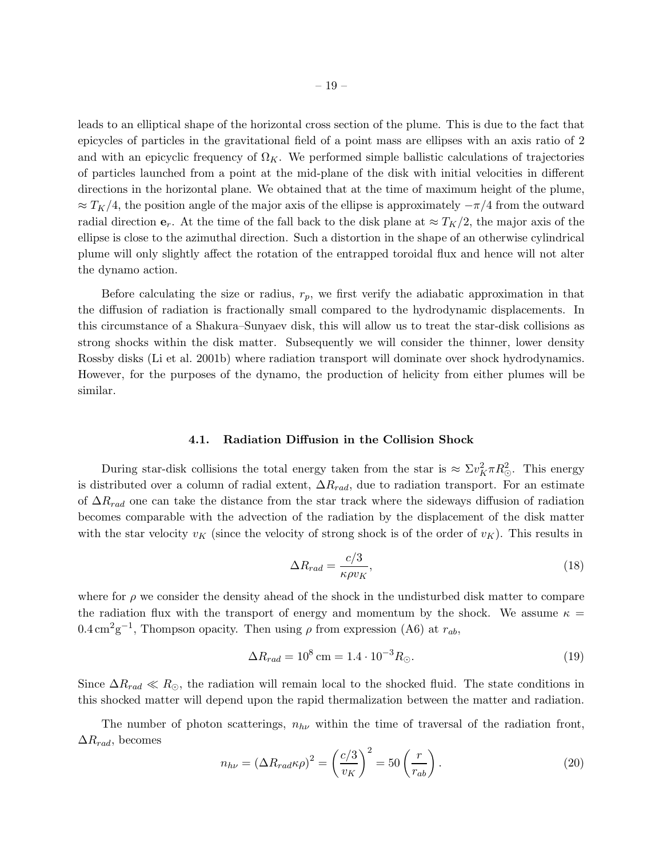leads to an elliptical shape of the horizontal cross section of the plume. This is due to the fact that epicycles of particles in the gravitational field of a point mass are ellipses with an axis ratio of 2 and with an epicyclic frequency of  $\Omega_K$ . We performed simple ballistic calculations of trajectories of particles launched from a point at the mid-plane of the disk with initial velocities in different directions in the horizontal plane. We obtained that at the time of maximum height of the plume,  $\approx T_K/4$ , the position angle of the major axis of the ellipse is approximately  $-\pi/4$  from the outward radial direction  $e_r$ . At the time of the fall back to the disk plane at  $\approx T_K/2$ , the major axis of the ellipse is close to the azimuthal direction. Such a distortion in the shape of an otherwise cylindrical plume will only slightly affect the rotation of the entrapped toroidal flux and hence will not alter the dynamo action.

Before calculating the size or radius,  $r_p$ , we first verify the adiabatic approximation in that the diffusion of radiation is fractionally small compared to the hydrodynamic displacements. In this circumstance of a Shakura–Sunyaev disk, this will allow us to treat the star-disk collisions as strong shocks within the disk matter. Subsequently we will consider the thinner, lower density Rossby disks (Li et al. 2001b) where radiation transport will dominate over shock hydrodynamics. However, for the purposes of the dynamo, the production of helicity from either plumes will be similar.

#### 4.1. Radiation Diffusion in the Collision Shock

During star-disk collisions the total energy taken from the star is  $\approx \Sigma v_K^2 \pi R_{\odot}^2$ . This energy is distributed over a column of radial extent,  $\Delta R_{rad}$ , due to radiation transport. For an estimate of  $\Delta R_{rad}$  one can take the distance from the star track where the sideways diffusion of radiation becomes comparable with the advection of the radiation by the displacement of the disk matter with the star velocity  $v_K$  (since the velocity of strong shock is of the order of  $v_K$ ). This results in

$$
\Delta R_{rad} = \frac{c/3}{\kappa \rho v_K},\tag{18}
$$

where for  $\rho$  we consider the density ahead of the shock in the undisturbed disk matter to compare the radiation flux with the transport of energy and momentum by the shock. We assume  $\kappa =$  $0.4 \,\mathrm{cm}^2 \mathrm{g}^{-1}$ , Thompson opacity. Then using  $\rho$  from expression (A6) at  $r_{ab}$ ,

$$
\Delta R_{rad} = 10^8 \,\text{cm} = 1.4 \cdot 10^{-3} R_{\odot}.\tag{19}
$$

Since  $\Delta R_{rad} \ll R_{\odot}$ , the radiation will remain local to the shocked fluid. The state conditions in this shocked matter will depend upon the rapid thermalization between the matter and radiation.

The number of photon scatterings,  $n_{h\nu}$  within the time of traversal of the radiation front,  $\Delta R_{rad}$ , becomes

$$
n_{h\nu} = (\Delta R_{rad}\kappa \rho)^2 = \left(\frac{c/3}{v_K}\right)^2 = 50\left(\frac{r}{r_{ab}}\right). \tag{20}
$$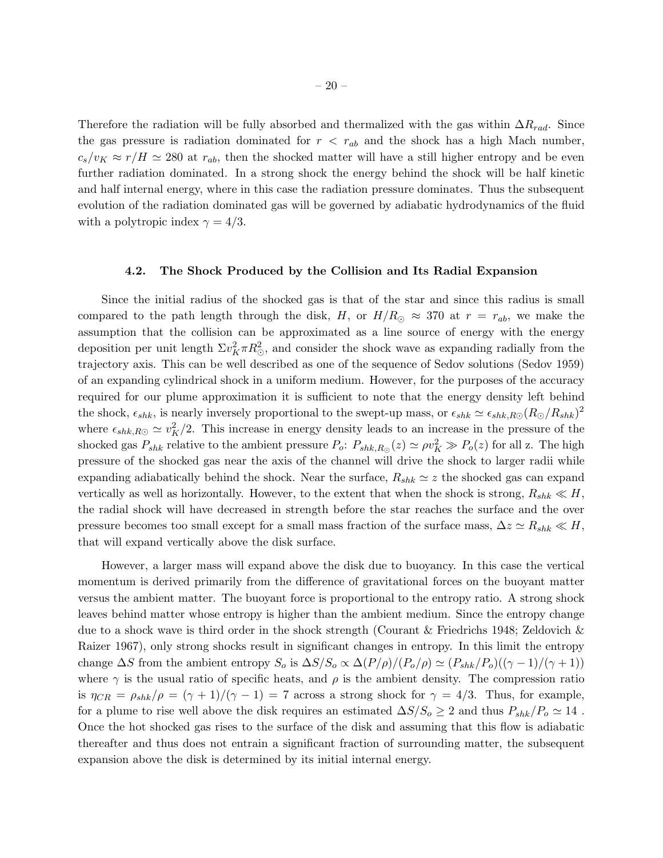Therefore the radiation will be fully absorbed and thermalized with the gas within  $\Delta R_{rad}$ . Since the gas pressure is radiation dominated for  $r < r_{ab}$  and the shock has a high Mach number,  $c_s/v_K \approx r/H \simeq 280$  at  $r_{ab}$ , then the shocked matter will have a still higher entropy and be even further radiation dominated. In a strong shock the energy behind the shock will be half kinetic and half internal energy, where in this case the radiation pressure dominates. Thus the subsequent evolution of the radiation dominated gas will be governed by adiabatic hydrodynamics of the fluid with a polytropic index  $\gamma = 4/3$ .

# 4.2. The Shock Produced by the Collision and Its Radial Expansion

Since the initial radius of the shocked gas is that of the star and since this radius is small compared to the path length through the disk, H, or  $H/R_{\odot} \approx 370$  at  $r = r_{ab}$ , we make the assumption that the collision can be approximated as a line source of energy with the energy deposition per unit length  $\Sigma v_K^2 \pi R_{\odot}^2$ , and consider the shock wave as expanding radially from the trajectory axis. This can be well described as one of the sequence of Sedov solutions (Sedov 1959) of an expanding cylindrical shock in a uniform medium. However, for the purposes of the accuracy required for our plume approximation it is sufficient to note that the energy density left behind the shock,  $\epsilon_{shk}$ , is nearly inversely proportional to the swept-up mass, or  $\epsilon_{shk} \simeq \epsilon_{shk,RO}(R_{\odot}/R_{shk})^2$ where  $\epsilon_{shk,R\odot} \simeq v_K^2/2$ . This increase in energy density leads to an increase in the pressure of the shocked gas  $P_{shk}$  relative to the ambient pressure  $P_o: P_{shk,R_{\circlearrowright}}(z) \simeq \rho v_K^2 \gg P_o(z)$  for all z. The high pressure of the shocked gas near the axis of the channel will drive the shock to larger radii while expanding adiabatically behind the shock. Near the surface,  $R_{shk} \simeq z$  the shocked gas can expand vertically as well as horizontally. However, to the extent that when the shock is strong,  $R_{shk} \ll H$ , the radial shock will have decreased in strength before the star reaches the surface and the over pressure becomes too small except for a small mass fraction of the surface mass,  $\Delta z \simeq R_{shk} \ll H$ , that will expand vertically above the disk surface.

However, a larger mass will expand above the disk due to buoyancy. In this case the vertical momentum is derived primarily from the difference of gravitational forces on the buoyant matter versus the ambient matter. The buoyant force is proportional to the entropy ratio. A strong shock leaves behind matter whose entropy is higher than the ambient medium. Since the entropy change due to a shock wave is third order in the shock strength (Courant & Friedrichs 1948; Zeldovich & Raizer 1967), only strong shocks result in significant changes in entropy. In this limit the entropy change  $\Delta S$  from the ambient entropy  $S_o$  is  $\Delta S/S_o \propto \Delta (P/\rho)/(P_o/\rho) \simeq (P_{shk}/P_o)((\gamma - 1)/(\gamma + 1))$ where  $\gamma$  is the usual ratio of specific heats, and  $\rho$  is the ambient density. The compression ratio is  $\eta_{CR} = \rho_{shk}/\rho = (\gamma + 1)/(\gamma - 1) = 7$  across a strong shock for  $\gamma = 4/3$ . Thus, for example, for a plume to rise well above the disk requires an estimated  $\Delta S/S_o \geq 2$  and thus  $P_{shk}/P_o \simeq 14$ . Once the hot shocked gas rises to the surface of the disk and assuming that this flow is adiabatic thereafter and thus does not entrain a significant fraction of surrounding matter, the subsequent expansion above the disk is determined by its initial internal energy.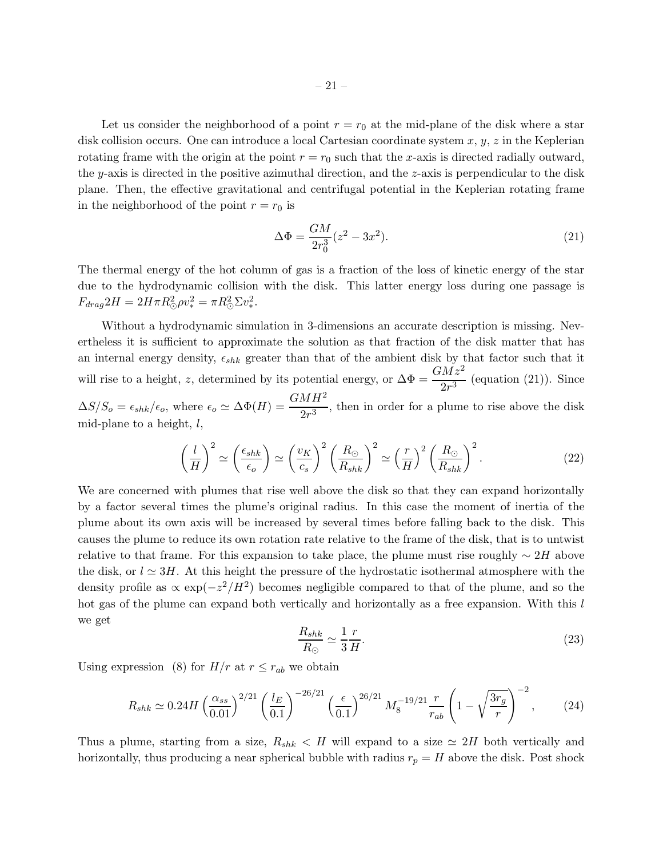Let us consider the neighborhood of a point  $r = r_0$  at the mid-plane of the disk where a star disk collision occurs. One can introduce a local Cartesian coordinate system  $x, y, z$  in the Keplerian rotating frame with the origin at the point  $r = r_0$  such that the x-axis is directed radially outward, the y-axis is directed in the positive azimuthal direction, and the z-axis is perpendicular to the disk plane. Then, the effective gravitational and centrifugal potential in the Keplerian rotating frame in the neighborhood of the point  $r = r_0$  is

$$
\Delta \Phi = \frac{GM}{2r_0^3}(z^2 - 3x^2). \tag{21}
$$

The thermal energy of the hot column of gas is a fraction of the loss of kinetic energy of the star due to the hydrodynamic collision with the disk. This latter energy loss during one passage is  $F_{drag} 2H = 2H\pi R_{\odot}^2 \rho v_*^2 = \pi R_{\odot}^2 \Sigma v_*^2.$ 

Without a hydrodynamic simulation in 3-dimensions an accurate description is missing. Nevertheless it is sufficient to approximate the solution as that fraction of the disk matter that has an internal energy density,  $\epsilon_{shk}$  greater than that of the ambient disk by that factor such that it will rise to a height, z, determined by its potential energy, or  $\Delta \Phi = \frac{GM\dot{z}^2}{2r^3}$  (equation (21)). Since  $\Delta S/S_o = \epsilon_{shk}/\epsilon_o$ , where  $\epsilon_o \simeq \Delta \Phi(H) = \frac{GMH^2}{2r^3}$ , then in order for a plume to rise above the disk mid-plane to a height,  $l$ ,

$$
\left(\frac{l}{H}\right)^2 \simeq \left(\frac{\epsilon_{shk}}{\epsilon_o}\right) \simeq \left(\frac{v_K}{c_s}\right)^2 \left(\frac{R_{\odot}}{R_{shk}}\right)^2 \simeq \left(\frac{r}{H}\right)^2 \left(\frac{R_{\odot}}{R_{shk}}\right)^2.
$$
\n(22)

We are concerned with plumes that rise well above the disk so that they can expand horizontally by a factor several times the plume's original radius. In this case the moment of inertia of the plume about its own axis will be increased by several times before falling back to the disk. This causes the plume to reduce its own rotation rate relative to the frame of the disk, that is to untwist relative to that frame. For this expansion to take place, the plume must rise roughly  $\sim 2H$  above the disk, or  $l \approx 3H$ . At this height the pressure of the hydrostatic isothermal atmosphere with the density profile as  $\propto \exp(-z^2/H^2)$  becomes negligible compared to that of the plume, and so the hot gas of the plume can expand both vertically and horizontally as a free expansion. With this l we get

$$
\frac{R_{shk}}{R_{\odot}} \simeq \frac{1}{3} \frac{r}{H}.\tag{23}
$$

Using expression (8) for  $H/r$  at  $r \leq r_{ab}$  we obtain

$$
R_{shk} \simeq 0.24H \left(\frac{\alpha_{ss}}{0.01}\right)^{2/21} \left(\frac{l_E}{0.1}\right)^{-26/21} \left(\frac{\epsilon}{0.1}\right)^{26/21} M_8^{-19/21} \frac{r}{r_{ab}} \left(1 - \sqrt{\frac{3r_g}{r}}\right)^{-2},\tag{24}
$$

Thus a plume, starting from a size,  $R_{shk} < H$  will expand to a size  $\simeq 2H$  both vertically and horizontally, thus producing a near spherical bubble with radius  $r_p = H$  above the disk. Post shock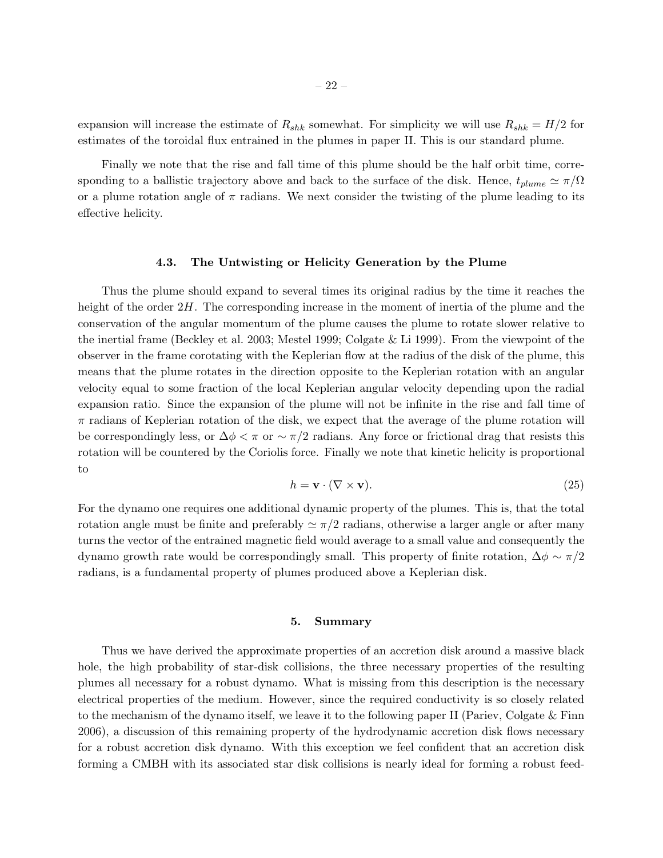expansion will increase the estimate of  $R_{shk}$  somewhat. For simplicity we will use  $R_{shk} = H/2$  for estimates of the toroidal flux entrained in the plumes in paper II. This is our standard plume.

Finally we note that the rise and fall time of this plume should be the half orbit time, corresponding to a ballistic trajectory above and back to the surface of the disk. Hence,  $t_{plume} \simeq \pi/\Omega$ or a plume rotation angle of  $\pi$  radians. We next consider the twisting of the plume leading to its effective helicity.

# 4.3. The Untwisting or Helicity Generation by the Plume

Thus the plume should expand to several times its original radius by the time it reaches the height of the order  $2H$ . The corresponding increase in the moment of inertia of the plume and the conservation of the angular momentum of the plume causes the plume to rotate slower relative to the inertial frame (Beckley et al. 2003; Mestel 1999; Colgate & Li 1999). From the viewpoint of the observer in the frame corotating with the Keplerian flow at the radius of the disk of the plume, this means that the plume rotates in the direction opposite to the Keplerian rotation with an angular velocity equal to some fraction of the local Keplerian angular velocity depending upon the radial expansion ratio. Since the expansion of the plume will not be infinite in the rise and fall time of  $\pi$  radians of Keplerian rotation of the disk, we expect that the average of the plume rotation will be correspondingly less, or  $\Delta \phi < \pi$  or  $\sim \pi/2$  radians. Any force or frictional drag that resists this rotation will be countered by the Coriolis force. Finally we note that kinetic helicity is proportional to

$$
h = \mathbf{v} \cdot (\nabla \times \mathbf{v}).\tag{25}
$$

For the dynamo one requires one additional dynamic property of the plumes. This is, that the total rotation angle must be finite and preferably  $\simeq \pi/2$  radians, otherwise a larger angle or after many turns the vector of the entrained magnetic field would average to a small value and consequently the dynamo growth rate would be correspondingly small. This property of finite rotation,  $\Delta \phi \sim \pi/2$ radians, is a fundamental property of plumes produced above a Keplerian disk.

### 5. Summary

Thus we have derived the approximate properties of an accretion disk around a massive black hole, the high probability of star-disk collisions, the three necessary properties of the resulting plumes all necessary for a robust dynamo. What is missing from this description is the necessary electrical properties of the medium. However, since the required conductivity is so closely related to the mechanism of the dynamo itself, we leave it to the following paper II (Pariev, Colgate & Finn 2006), a discussion of this remaining property of the hydrodynamic accretion disk flows necessary for a robust accretion disk dynamo. With this exception we feel confident that an accretion disk forming a CMBH with its associated star disk collisions is nearly ideal for forming a robust feed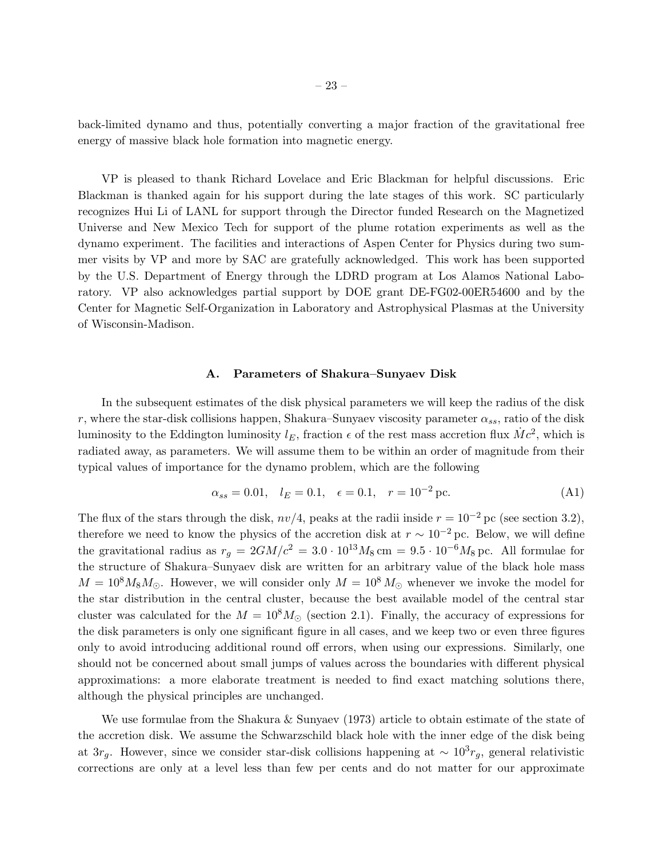back-limited dynamo and thus, potentially converting a major fraction of the gravitational free energy of massive black hole formation into magnetic energy.

VP is pleased to thank Richard Lovelace and Eric Blackman for helpful discussions. Eric Blackman is thanked again for his support during the late stages of this work. SC particularly recognizes Hui Li of LANL for support through the Director funded Research on the Magnetized Universe and New Mexico Tech for support of the plume rotation experiments as well as the dynamo experiment. The facilities and interactions of Aspen Center for Physics during two summer visits by VP and more by SAC are gratefully acknowledged. This work has been supported by the U.S. Department of Energy through the LDRD program at Los Alamos National Laboratory. VP also acknowledges partial support by DOE grant DE-FG02-00ER54600 and by the Center for Magnetic Self-Organization in Laboratory and Astrophysical Plasmas at the University of Wisconsin-Madison.

### A. Parameters of Shakura–Sunyaev Disk

In the subsequent estimates of the disk physical parameters we will keep the radius of the disk r, where the star-disk collisions happen, Shakura–Sunyaev viscosity parameter  $\alpha_{ss}$ , ratio of the disk luminosity to the Eddington luminosity  $l_E$ , fraction  $\epsilon$  of the rest mass accretion flux  $\dot{M}c^2$ , which is radiated away, as parameters. We will assume them to be within an order of magnitude from their typical values of importance for the dynamo problem, which are the following

$$
\alpha_{ss} = 0.01, \quad l_E = 0.1, \quad \epsilon = 0.1, \quad r = 10^{-2} \text{ pc.} \tag{A1}
$$

The flux of the stars through the disk,  $nv/4$ , peaks at the radii inside  $r = 10^{-2}$  pc (see section 3.2), therefore we need to know the physics of the accretion disk at  $r \sim 10^{-2}$  pc. Below, we will define the gravitational radius as  $r_q = 2GM/c^2 = 3.0 \cdot 10^{13} M_8 \text{ cm} = 9.5 \cdot 10^{-6} M_8 \text{ pc}$ . All formulae for the structure of Shakura–Sunyaev disk are written for an arbitrary value of the black hole mass  $M = 10^8 M_8 M_{\odot}$ . However, we will consider only  $M = 10^8 M_{\odot}$  whenever we invoke the model for the star distribution in the central cluster, because the best available model of the central star cluster was calculated for the  $M = 10^8 M_{\odot}$  (section 2.1). Finally, the accuracy of expressions for the disk parameters is only one significant figure in all cases, and we keep two or even three figures only to avoid introducing additional round off errors, when using our expressions. Similarly, one should not be concerned about small jumps of values across the boundaries with different physical approximations: a more elaborate treatment is needed to find exact matching solutions there, although the physical principles are unchanged.

We use formulae from the Shakura & Sunyaev (1973) article to obtain estimate of the state of the accretion disk. We assume the Schwarzschild black hole with the inner edge of the disk being at  $3r_g$ . However, since we consider star-disk collisions happening at  $\sim 10^3 r_g$ , general relativistic corrections are only at a level less than few per cents and do not matter for our approximate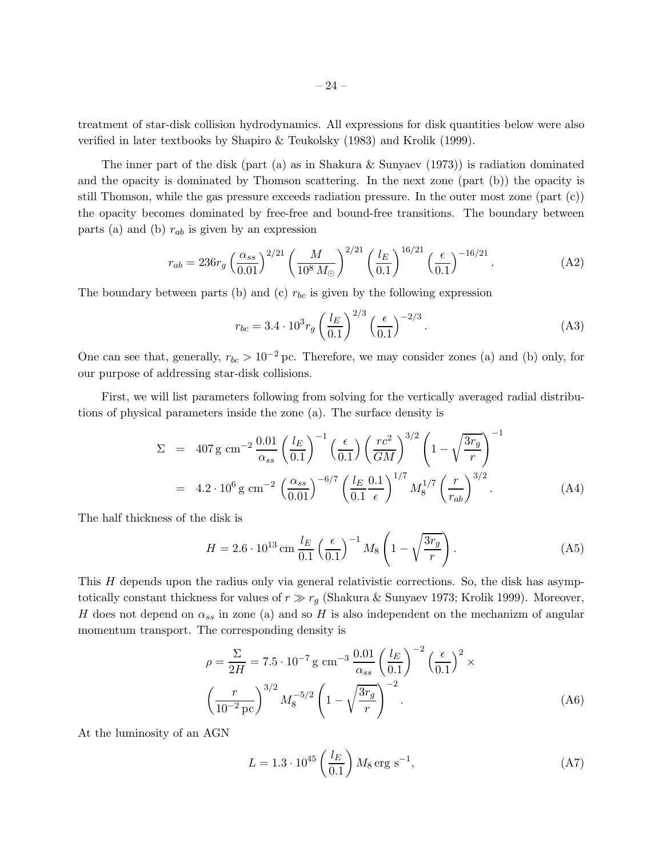treatment of star-disk collision hydrodynamics. All expressions for disk quantities below were also verified in later textbooks by Shapiro & Teukolsky (1983) and Krolik (1999).

The inner part of the disk (part (a) as in Shakura & Sunyaev (1973)) is radiation dominated and the opacity is dominated by Thomson scattering. In the next zone (part (b)) the opacity is still Thomson, while the gas pressure exceeds radiation pressure. In the outer most zone (part (c)) the opacity becomes dominated by free-free and bound-free transitions. The boundary between parts (a) and (b)  $r_{ab}$  is given by an expression

$$
r_{ab} = 236r_g \left(\frac{\alpha_{ss}}{0.01}\right)^{2/21} \left(\frac{M}{10^8 M_{\odot}}\right)^{2/21} \left(\frac{l_E}{0.1}\right)^{16/21} \left(\frac{\epsilon}{0.1}\right)^{-16/21}.
$$
 (A2)

The boundary between parts (b) and (c)  $r_{bc}$  is given by the following expression

$$
r_{bc} = 3.4 \cdot 10^3 r_g \left(\frac{l_E}{0.1}\right)^{2/3} \left(\frac{\epsilon}{0.1}\right)^{-2/3}.
$$
 (A3)

One can see that, generally,  $r_{bc} > 10^{-2}$  pc. Therefore, we may consider zones (a) and (b) only, for our purpose of addressing star-disk collisions.

First, we will list parameters following from solving for the vertically averaged radial distributions of physical parameters inside the zone (a). The surface density is

$$
\Sigma = 407 \,\text{g cm}^{-2} \frac{0.01}{\alpha_{ss}} \left(\frac{l_E}{0.1}\right)^{-1} \left(\frac{\epsilon}{0.1}\right) \left(\frac{rc^2}{GM}\right)^{3/2} \left(1 - \sqrt{\frac{3r_g}{r}}\right)^{-1}
$$
\n
$$
= 4.2 \cdot 10^6 \,\text{g cm}^{-2} \left(\frac{\alpha_{ss}}{0.01}\right)^{-6/7} \left(\frac{l_E}{0.1} \frac{0.1}{\epsilon}\right)^{1/7} M_8^{1/7} \left(\frac{r}{r_{ab}}\right)^{3/2} . \tag{A4}
$$

The half thickness of the disk is

$$
H = 2.6 \cdot 10^{13} \,\mathrm{cm} \,\frac{l_E}{0.1} \left(\frac{\epsilon}{0.1}\right)^{-1} M_8 \left(1 - \sqrt{\frac{3r_g}{r}}\right). \tag{A5}
$$

This H depends upon the radius only via general relativistic corrections. So, the disk has asymptotically constant thickness for values of  $r \gg r_g$  (Shakura & Sunyaev 1973; Krolik 1999). Moreover, H does not depend on  $\alpha_{ss}$  in zone (a) and so H is also independent on the mechanizm of angular momentum transport. The corresponding density is

$$
\rho = \frac{\Sigma}{2H} = 7.5 \cdot 10^{-7} \,\mathrm{g} \,\mathrm{cm}^{-3} \,\frac{0.01}{\alpha_{ss}} \left(\frac{l_E}{0.1}\right)^{-2} \left(\frac{\epsilon}{0.1}\right)^2 \times \left(\frac{r}{10^{-2} \,\mathrm{pc}}\right)^{3/2} M_8^{-5/2} \left(1 - \sqrt{\frac{3r_g}{r}}\right)^{-2} . \tag{A6}
$$

At the luminosity of an AGN

$$
L = 1.3 \cdot 10^{45} \left(\frac{l_E}{0.1}\right) M_8 \text{ erg s}^{-1},\tag{A7}
$$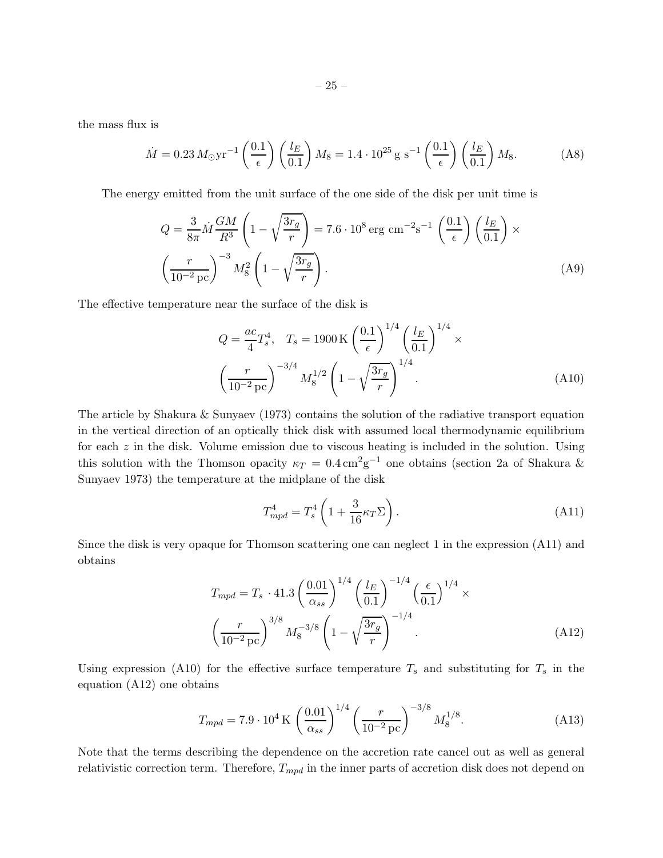the mass flux is

$$
\dot{M} = 0.23 \, M_{\odot} \text{yr}^{-1} \left(\frac{0.1}{\epsilon}\right) \left(\frac{l_E}{0.1}\right) M_8 = 1.4 \cdot 10^{25} \, \text{g s}^{-1} \left(\frac{0.1}{\epsilon}\right) \left(\frac{l_E}{0.1}\right) M_8. \tag{A8}
$$

The energy emitted from the unit surface of the one side of the disk per unit time is

$$
Q = \frac{3}{8\pi} \dot{M} \frac{GM}{R^3} \left( 1 - \sqrt{\frac{3r_g}{r}} \right) = 7.6 \cdot 10^8 \text{ erg cm}^{-2} \text{s}^{-1} \left( \frac{0.1}{\epsilon} \right) \left( \frac{l_E}{0.1} \right) \times \left( \frac{r}{10^{-2} \text{ pc}} \right)^{-3} M_8^2 \left( 1 - \sqrt{\frac{3r_g}{r}} \right). \tag{A9}
$$

The effective temperature near the surface of the disk is

$$
Q = \frac{ac}{4} T_s^4, \quad T_s = 1900 \text{ K} \left(\frac{0.1}{\epsilon}\right)^{1/4} \left(\frac{l_E}{0.1}\right)^{1/4} \times \left(\frac{r}{10^{-2} \text{ pc}}\right)^{-3/4} M_8^{1/2} \left(1 - \sqrt{\frac{3r_g}{r}}\right)^{1/4}.
$$
 (A10)

The article by Shakura & Sunyaev (1973) contains the solution of the radiative transport equation in the vertical direction of an optically thick disk with assumed local thermodynamic equilibrium for each  $z$  in the disk. Volume emission due to viscous heating is included in the solution. Using this solution with the Thomson opacity  $\kappa_T = 0.4 \,\mathrm{cm}^2 \mathrm{g}^{-1}$  one obtains (section 2a of Shakura & Sunyaev 1973) the temperature at the midplane of the disk

$$
T_{mpd}^4 = T_s^4 \left( 1 + \frac{3}{16} \kappa_T \Sigma \right). \tag{A11}
$$

Since the disk is very opaque for Thomson scattering one can neglect 1 in the expression (A11) and obtains

$$
T_{mpd} = T_s \cdot 41.3 \left(\frac{0.01}{\alpha_{ss}}\right)^{1/4} \left(\frac{l_E}{0.1}\right)^{-1/4} \left(\frac{\epsilon}{0.1}\right)^{1/4} \times \left(\frac{r}{10^{-2} \,\text{pc}}\right)^{3/8} M_8^{-3/8} \left(1 - \sqrt{\frac{3r_g}{r}}\right)^{-1/4}.
$$
\n(A12)

Using expression (A10) for the effective surface temperature  $T_s$  and substituting for  $T_s$  in the equation (A12) one obtains

$$
T_{mpd} = 7.9 \cdot 10^4 \,\mathrm{K} \, \left(\frac{0.01}{\alpha_{ss}}\right)^{1/4} \left(\frac{r}{10^{-2} \,\mathrm{pc}}\right)^{-3/8} M_8^{1/8}.\tag{A13}
$$

Note that the terms describing the dependence on the accretion rate cancel out as well as general relativistic correction term. Therefore,  $T_{mpd}$  in the inner parts of accretion disk does not depend on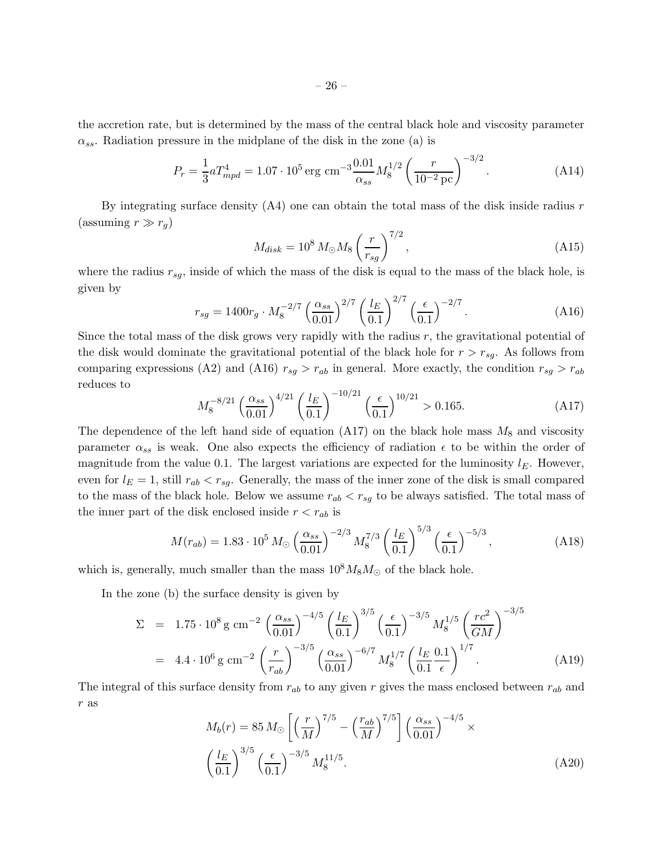the accretion rate, but is determined by the mass of the central black hole and viscosity parameter  $\alpha_{ss}$ . Radiation pressure in the midplane of the disk in the zone (a) is

$$
P_r = \frac{1}{3} a T_{mpd}^4 = 1.07 \cdot 10^5 \,\text{erg cm}^{-3} \frac{0.01}{\alpha_{ss}} M_8^{1/2} \left(\frac{r}{10^{-2} \,\text{pc}}\right)^{-3/2}.\tag{A14}
$$

By integrating surface density  $(A4)$  one can obtain the total mass of the disk inside radius r (assuming  $r \gg r_q$ )

$$
M_{disk} = 10^8 \, M_{\odot} M_8 \left(\frac{r}{r_{sg}}\right)^{7/2},\tag{A15}
$$

where the radius  $r_{sq}$ , inside of which the mass of the disk is equal to the mass of the black hole, is given by  $0/7$ 

$$
r_{sg} = 1400r_g \cdot M_8^{-2/7} \left(\frac{\alpha_{ss}}{0.01}\right)^{2/7} \left(\frac{l_E}{0.1}\right)^{2/7} \left(\frac{\epsilon}{0.1}\right)^{-2/7}.
$$
 (A16)

Since the total mass of the disk grows very rapidly with the radius r, the gravitational potential of the disk would dominate the gravitational potential of the black hole for  $r > r_{sq}$ . As follows from comparing expressions (A2) and (A16)  $r_{sg} > r_{ab}$  in general. More exactly, the condition  $r_{sg} > r_{ab}$ reduces to

$$
M_8^{-8/21} \left(\frac{\alpha_{ss}}{0.01}\right)^{4/21} \left(\frac{l_E}{0.1}\right)^{-10/21} \left(\frac{\epsilon}{0.1}\right)^{10/21} > 0.165. \tag{A17}
$$

The dependence of the left hand side of equation  $(A17)$  on the black hole mass  $M_8$  and viscosity parameter  $\alpha_{ss}$  is weak. One also expects the efficiency of radiation  $\epsilon$  to be within the order of magnitude from the value 0.1. The largest variations are expected for the luminosity  $l_E$ . However, even for  $l_E = 1$ , still  $r_{ab} < r_{sg}$ . Generally, the mass of the inner zone of the disk is small compared to the mass of the black hole. Below we assume  $r_{ab} < r_{sg}$  to be always satisfied. The total mass of the inner part of the disk enclosed inside  $r < r_{ab}$  is

$$
M(r_{ab}) = 1.83 \cdot 10^5 \, M_{\odot} \left(\frac{\alpha_{ss}}{0.01}\right)^{-2/3} M_8^{7/3} \left(\frac{l_E}{0.1}\right)^{5/3} \left(\frac{\epsilon}{0.1}\right)^{-5/3},\tag{A18}
$$

which is, generally, much smaller than the mass  $10^8M_8M_\odot$  of the black hole.

In the zone (b) the surface density is given by

$$
\Sigma = 1.75 \cdot 10^8 \,\text{g cm}^{-2} \left(\frac{\alpha_{ss}}{0.01}\right)^{-4/5} \left(\frac{l_E}{0.1}\right)^{3/5} \left(\frac{\epsilon}{0.1}\right)^{-3/5} M_8^{1/5} \left(\frac{rc^2}{GM}\right)^{-3/5}
$$
\n
$$
= 4.4 \cdot 10^6 \,\text{g cm}^{-2} \left(\frac{r}{r_{ab}}\right)^{-3/5} \left(\frac{\alpha_{ss}}{0.01}\right)^{-6/7} M_8^{1/7} \left(\frac{l_E}{0.1}\frac{0.1}{\epsilon}\right)^{1/7} . \tag{A19}
$$

The integral of this surface density from  $r_{ab}$  to any given r gives the mass enclosed between  $r_{ab}$  and  $r\,$  as

$$
M_b(r) = 85 M_{\odot} \left[ \left( \frac{r}{M} \right)^{7/5} - \left( \frac{r_{ab}}{M} \right)^{7/5} \right] \left( \frac{\alpha_{ss}}{0.01} \right)^{-4/5} \times \left( \frac{l_E}{0.1} \right)^{3/5} \left( \frac{\epsilon}{0.1} \right)^{-3/5} M_8^{11/5}.
$$
 (A20)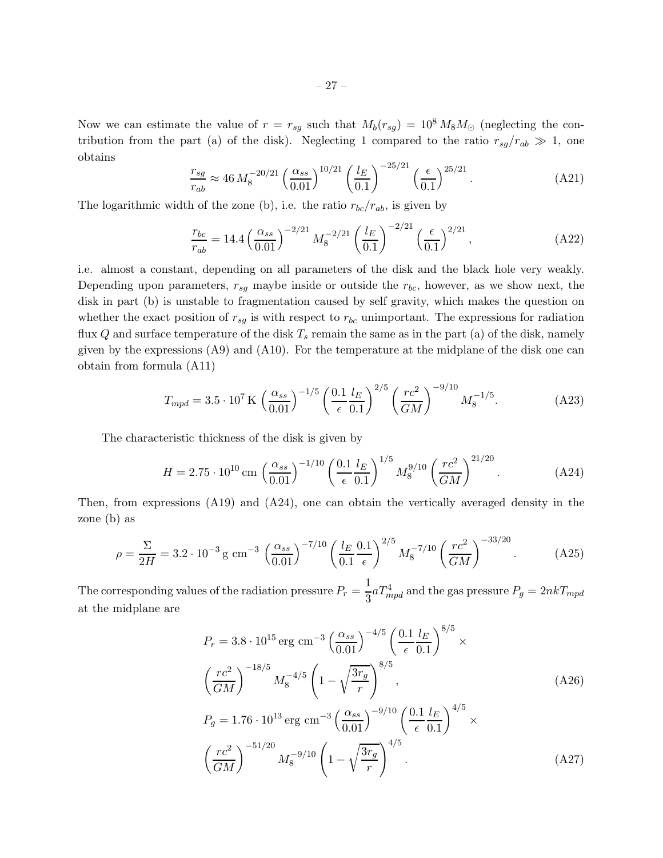Now we can estimate the value of  $r = r_{sg}$  such that  $M_b(r_{sg}) = 10^8 M_8 M_{\odot}$  (neglecting the contribution from the part (a) of the disk). Neglecting 1 compared to the ratio  $r_{sg}/r_{ab} \gg 1$ , one obtains −25/<sup>21</sup>

$$
\frac{r_{sg}}{r_{ab}} \approx 46 \, M_8^{-20/21} \left(\frac{\alpha_{ss}}{0.01}\right)^{10/21} \left(\frac{l_E}{0.1}\right)^{-25/21} \left(\frac{\epsilon}{0.1}\right)^{25/21}.\tag{A21}
$$

The logarithmic width of the zone (b), i.e. the ratio  $r_{bc}/r_{ab}$ , is given by

$$
\frac{r_{bc}}{r_{ab}} = 14.4 \left(\frac{\alpha_{ss}}{0.01}\right)^{-2/21} M_8^{-2/21} \left(\frac{l_E}{0.1}\right)^{-2/21} \left(\frac{\epsilon}{0.1}\right)^{2/21},\tag{A22}
$$

i.e. almost a constant, depending on all parameters of the disk and the black hole very weakly. Depending upon parameters,  $r_{sq}$  maybe inside or outside the  $r_{bc}$ , however, as we show next, the disk in part (b) is unstable to fragmentation caused by self gravity, which makes the question on whether the exact position of  $r_{sg}$  is with respect to  $r_{bc}$  unimportant. The expressions for radiation flux Q and surface temperature of the disk  $T_s$  remain the same as in the part (a) of the disk, namely given by the expressions (A9) and (A10). For the temperature at the midplane of the disk one can obtain from formula (A11)

$$
T_{mpd} = 3.5 \cdot 10^7 \,\mathrm{K} \, \left(\frac{\alpha_{ss}}{0.01}\right)^{-1/5} \left(\frac{0.1}{\epsilon} \frac{l_E}{0.1}\right)^{2/5} \left(\frac{rc^2}{GM}\right)^{-9/10} M_8^{-1/5}.\tag{A23}
$$

The characteristic thickness of the disk is given by

$$
H = 2.75 \cdot 10^{10} \,\mathrm{cm} \, \left(\frac{\alpha_{ss}}{0.01}\right)^{-1/10} \left(\frac{0.1}{\epsilon} \frac{l_E}{0.1}\right)^{1/5} M_8^{9/10} \left(\frac{rc^2}{GM}\right)^{21/20} . \tag{A24}
$$

Then, from expressions (A19) and (A24), one can obtain the vertically averaged density in the zone (b) as

$$
\rho = \frac{\Sigma}{2H} = 3.2 \cdot 10^{-3} \,\mathrm{g} \,\mathrm{cm}^{-3} \,\left(\frac{\alpha_{ss}}{0.01}\right)^{-7/10} \left(\frac{l_E}{0.1} \frac{0.1}{\epsilon}\right)^{2/5} M_8^{-7/10} \left(\frac{rc^2}{GM}\right)^{-33/20} . \tag{A25}
$$

The corresponding values of the radiation pressure  $P_r = \frac{1}{2}$  $\frac{1}{3} a T_{mpd}^4$  and the gas pressure  $P_g = 2nkT_{mpd}$ at the midplane are

$$
P_r = 3.8 \cdot 10^{15} \text{ erg cm}^{-3} \left(\frac{\alpha_{ss}}{0.01}\right)^{-4/5} \left(\frac{0.1}{\epsilon} \frac{l_E}{0.1}\right)^{8/5} \times
$$
  

$$
\left(\frac{rc^2}{GM}\right)^{-18/5} M_8^{-4/5} \left(1 - \sqrt{\frac{3r_g}{r}}\right)^{8/5},
$$
  

$$
P_g = 1.76 \cdot 10^{13} \text{ erg cm}^{-3} \left(\frac{\alpha_{ss}}{0.01}\right)^{-9/10} \left(\frac{0.1}{\epsilon} \frac{l_E}{0.1}\right)^{4/5} \times
$$
  

$$
\left(\frac{rc^2}{GM}\right)^{-51/20} M_8^{-9/10} \left(1 - \sqrt{\frac{3r_g}{r}}\right)^{4/5}.
$$
 (A27)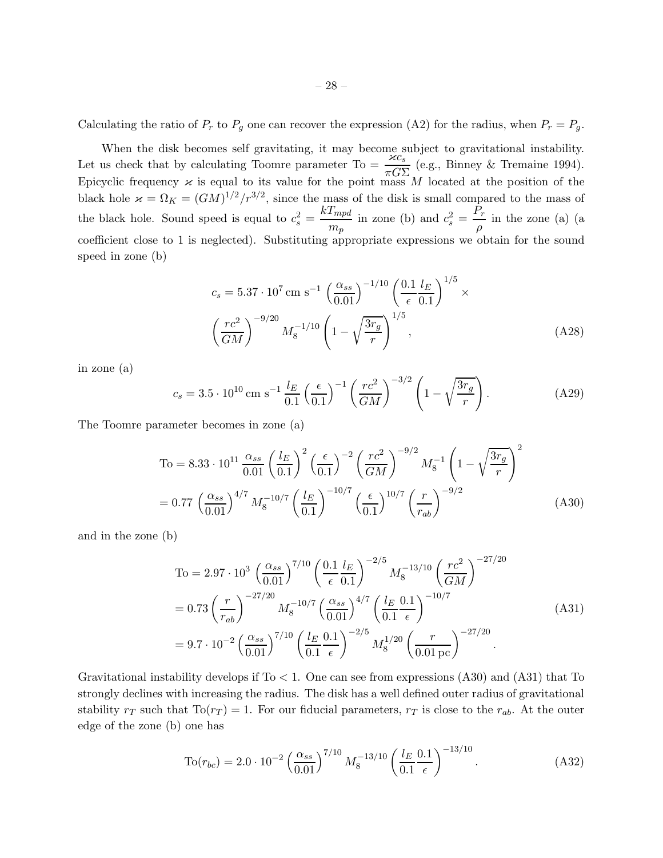Calculating the ratio of  $P_r$  to  $P_g$  one can recover the expression (A2) for the radius, when  $P_r = P_g$ .

When the disk becomes self gravitating, it may become subject to gravitational instability.<br>Let us check that by calculating Toomre parameter To =  $\frac{\varkappa c_s}{\pi G\Sigma}$  (e.g., Binney & Tremaine 1994). Epicyclic frequency  $\varkappa$  is equal to its value for the point mass M located at the position of the black hole  $\varkappa = \Omega_K = (GM)^{1/2}/r^{3/2}$ , since the mass of the disk is small compared to the mass of the black hole. Sound speed is equal to  $c_s^2 = \frac{kT_{mpd}}{m}$  $\frac{T_{mpd}}{m_p}$  in zone (b) and  $c_s^2 = \frac{P_r}{\rho}$  $\frac{\partial}{\partial}$  in the zone (a) (a coefficient close to 1 is neglected). Substituting appropriate expressions we obtain for the sound speed in zone (b)

$$
c_s = 5.37 \cdot 10^7 \text{ cm s}^{-1} \left(\frac{\alpha_{ss}}{0.01}\right)^{-1/10} \left(\frac{0.1}{\epsilon} \frac{l_E}{0.1}\right)^{1/5} \times \left(\frac{rc^2}{GM}\right)^{-9/20} M_8^{-1/10} \left(1 - \sqrt{\frac{3r_g}{r}}\right)^{1/5},\tag{A28}
$$

in zone (a)

$$
c_s = 3.5 \cdot 10^{10} \,\mathrm{cm} \,\mathrm{s}^{-1} \,\frac{l_E}{0.1} \left(\frac{\epsilon}{0.1}\right)^{-1} \left(\frac{rc^2}{GM}\right)^{-3/2} \left(1 - \sqrt{\frac{3r_g}{r}}\right). \tag{A29}
$$

The Toomre parameter becomes in zone (a)

$$
T_0 = 8.33 \cdot 10^{11} \frac{\alpha_{ss}}{0.01} \left(\frac{l_E}{0.1}\right)^2 \left(\frac{\epsilon}{0.1}\right)^{-2} \left(\frac{rc^2}{GM}\right)^{-9/2} M_8^{-1} \left(1 - \sqrt{\frac{3r_g}{r}}\right)^2
$$

$$
= 0.77 \left(\frac{\alpha_{ss}}{0.01}\right)^{4/7} M_8^{-10/7} \left(\frac{l_E}{0.1}\right)^{-10/7} \left(\frac{\epsilon}{0.1}\right)^{10/7} \left(\frac{r}{r_{ab}}\right)^{-9/2} \tag{A30}
$$

and in the zone (b)

$$
T_0 = 2.97 \cdot 10^3 \left(\frac{\alpha_{ss}}{0.01}\right)^{7/10} \left(\frac{0.1}{\epsilon} \frac{l_E}{0.1}\right)^{-2/5} M_8^{-13/10} \left(\frac{rc^2}{GM}\right)^{-27/20}
$$
  
= 0.73  $\left(\frac{r}{r_{ab}}\right)^{-27/20} M_8^{-10/7} \left(\frac{\alpha_{ss}}{0.01}\right)^{4/7} \left(\frac{l_E}{0.1} \frac{0.1}{\epsilon}\right)^{-10/7}$   
= 9.7 \cdot 10^{-2}  $\left(\frac{\alpha_{ss}}{0.01}\right)^{7/10} \left(\frac{l_E}{0.1} \frac{0.1}{\epsilon}\right)^{-2/5} M_8^{1/20} \left(\frac{r}{0.01 \text{ pc}}\right)^{-27/20}$  (A31)

Gravitational instability develops if  $T_0 < 1$ . One can see from expressions (A30) and (A31) that To strongly declines with increasing the radius. The disk has a well defined outer radius of gravitational stability  $r_T$  such that  $\text{To}(r_T) = 1$ . For our fiducial parameters,  $r_T$  is close to the  $r_{ab}$ . At the outer edge of the zone (b) one has

$$
\text{To}(r_{bc}) = 2.0 \cdot 10^{-2} \left(\frac{\alpha_{ss}}{0.01}\right)^{7/10} M_8^{-13/10} \left(\frac{l_E}{0.1} \frac{0.1}{\epsilon}\right)^{-13/10}.
$$
 (A32)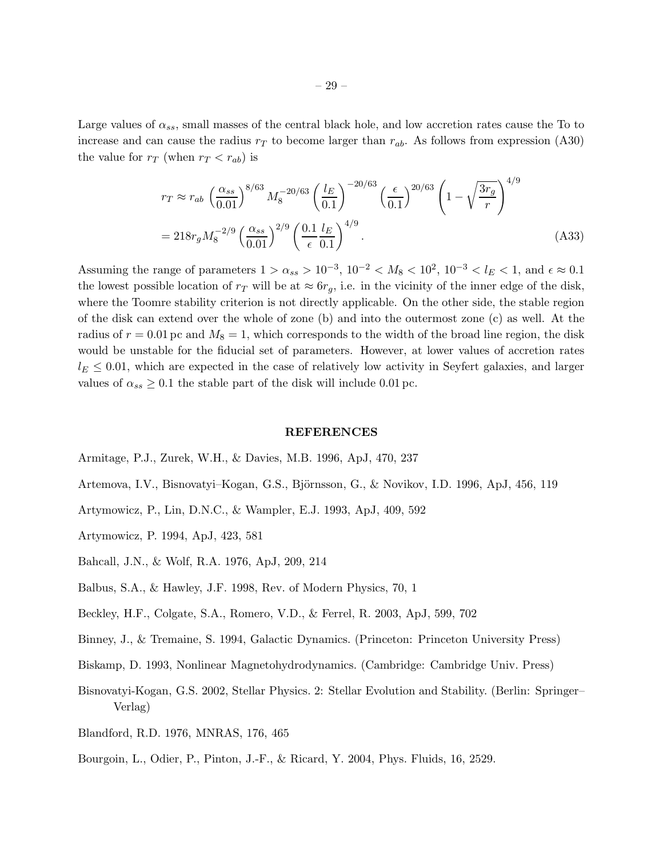Large values of  $\alpha_{ss}$ , small masses of the central black hole, and low accretion rates cause the To to increase and can cause the radius  $r<sub>T</sub>$  to become larger than  $r<sub>ab</sub>$ . As follows from expression (A30) the value for  $r_T$  (when  $r_T < r_{ab}$ ) is

$$
r_T \approx r_{ab} \left(\frac{\alpha_{ss}}{0.01}\right)^{8/63} M_8^{-20/63} \left(\frac{l_E}{0.1}\right)^{-20/63} \left(\frac{\epsilon}{0.1}\right)^{20/63} \left(1 - \sqrt{\frac{3r_g}{r}}\right)^{4/9}
$$
  
=  $218r_g M_8^{-2/9} \left(\frac{\alpha_{ss}}{0.01}\right)^{2/9} \left(\frac{0.1}{\epsilon} \frac{l_E}{0.1}\right)^{4/9}$ . (A33)

Assuming the range of parameters  $1 > \alpha_{ss} > 10^{-3}$ ,  $10^{-2} < M_8 < 10^2$ ,  $10^{-3} < l_E < 1$ , and  $\epsilon \approx 0.1$ the lowest possible location of  $r<sub>T</sub>$  will be at  $\approx 6r<sub>q</sub>$ , i.e. in the vicinity of the inner edge of the disk, where the Toomre stability criterion is not directly applicable. On the other side, the stable region of the disk can extend over the whole of zone (b) and into the outermost zone (c) as well. At the radius of  $r = 0.01$  pc and  $M_8 = 1$ , which corresponds to the width of the broad line region, the disk would be unstable for the fiducial set of parameters. However, at lower values of accretion rates  $l_E \leq 0.01$ , which are expected in the case of relatively low activity in Seyfert galaxies, and larger values of  $\alpha_{ss} \geq 0.1$  the stable part of the disk will include 0.01 pc.

#### REFERENCES

- Armitage, P.J., Zurek, W.H., & Davies, M.B. 1996, ApJ, 470, 237
- Artemova, I.V., Bisnovatyi–Kogan, G.S., Björnsson, G., & Novikov, I.D. 1996, ApJ, 456, 119
- Artymowicz, P., Lin, D.N.C., & Wampler, E.J. 1993, ApJ, 409, 592
- Artymowicz, P. 1994, ApJ, 423, 581
- Bahcall, J.N., & Wolf, R.A. 1976, ApJ, 209, 214
- Balbus, S.A., & Hawley, J.F. 1998, Rev. of Modern Physics, 70, 1
- Beckley, H.F., Colgate, S.A., Romero, V.D., & Ferrel, R. 2003, ApJ, 599, 702
- Binney, J., & Tremaine, S. 1994, Galactic Dynamics. (Princeton: Princeton University Press)
- Biskamp, D. 1993, Nonlinear Magnetohydrodynamics. (Cambridge: Cambridge Univ. Press)
- Bisnovatyi-Kogan, G.S. 2002, Stellar Physics. 2: Stellar Evolution and Stability. (Berlin: Springer– Verlag)
- Blandford, R.D. 1976, MNRAS, 176, 465
- Bourgoin, L., Odier, P., Pinton, J.-F., & Ricard, Y. 2004, Phys. Fluids, 16, 2529.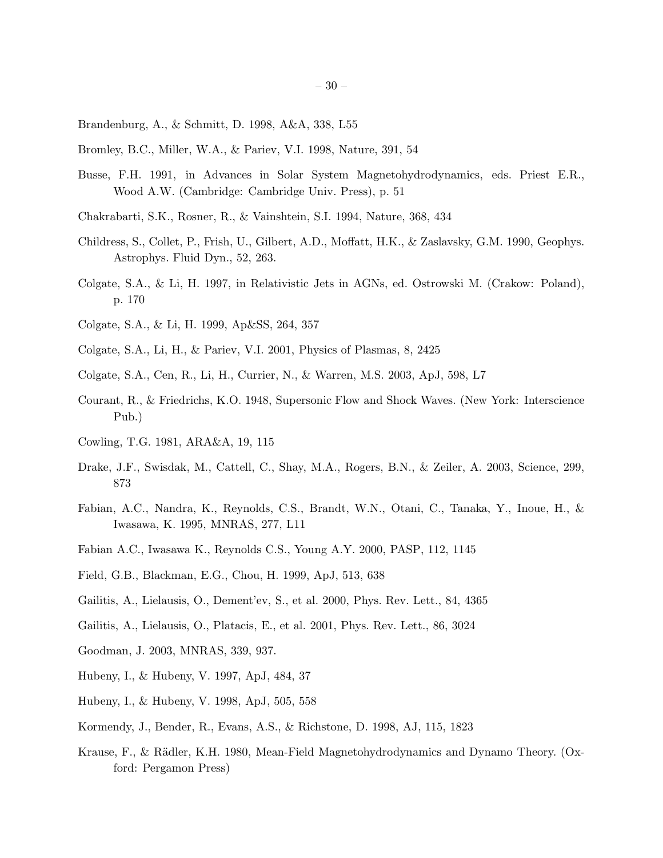- Brandenburg, A., & Schmitt, D. 1998, A&A, 338, L55
- Bromley, B.C., Miller, W.A., & Pariev, V.I. 1998, Nature, 391, 54
- Busse, F.H. 1991, in Advances in Solar System Magnetohydrodynamics, eds. Priest E.R., Wood A.W. (Cambridge: Cambridge Univ. Press), p. 51
- Chakrabarti, S.K., Rosner, R., & Vainshtein, S.I. 1994, Nature, 368, 434
- Childress, S., Collet, P., Frish, U., Gilbert, A.D., Moffatt, H.K., & Zaslavsky, G.M. 1990, Geophys. Astrophys. Fluid Dyn., 52, 263.
- Colgate, S.A., & Li, H. 1997, in Relativistic Jets in AGNs, ed. Ostrowski M. (Crakow: Poland), p. 170
- Colgate, S.A., & Li, H. 1999, Ap&SS, 264, 357
- Colgate, S.A., Li, H., & Pariev, V.I. 2001, Physics of Plasmas, 8, 2425
- Colgate, S.A., Cen, R., Li, H., Currier, N., & Warren, M.S. 2003, ApJ, 598, L7
- Courant, R., & Friedrichs, K.O. 1948, Supersonic Flow and Shock Waves. (New York: Interscience Pub.)
- Cowling, T.G. 1981, ARA&A, 19, 115
- Drake, J.F., Swisdak, M., Cattell, C., Shay, M.A., Rogers, B.N., & Zeiler, A. 2003, Science, 299, 873
- Fabian, A.C., Nandra, K., Reynolds, C.S., Brandt, W.N., Otani, C., Tanaka, Y., Inoue, H., & Iwasawa, K. 1995, MNRAS, 277, L11
- Fabian A.C., Iwasawa K., Reynolds C.S., Young A.Y. 2000, PASP, 112, 1145
- Field, G.B., Blackman, E.G., Chou, H. 1999, ApJ, 513, 638
- Gailitis, A., Lielausis, O., Dement'ev, S., et al. 2000, Phys. Rev. Lett., 84, 4365
- Gailitis, A., Lielausis, O., Platacis, E., et al. 2001, Phys. Rev. Lett., 86, 3024
- Goodman, J. 2003, MNRAS, 339, 937.
- Hubeny, I., & Hubeny, V. 1997, ApJ, 484, 37
- Hubeny, I., & Hubeny, V. 1998, ApJ, 505, 558
- Kormendy, J., Bender, R., Evans, A.S., & Richstone, D. 1998, AJ, 115, 1823
- Krause, F., & Rädler, K.H. 1980, Mean-Field Magnetohydrodynamics and Dynamo Theory. (Oxford: Pergamon Press)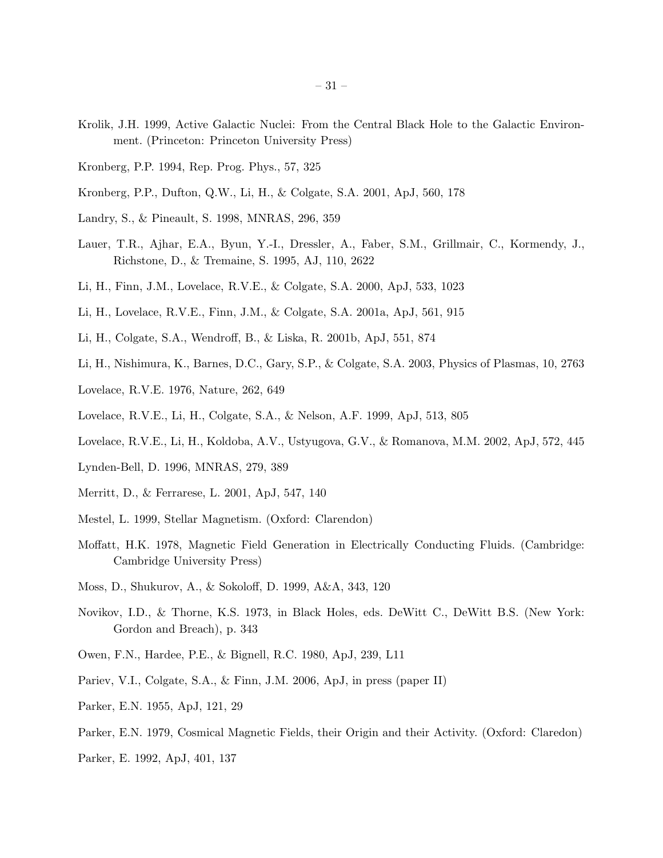- Krolik, J.H. 1999, Active Galactic Nuclei: From the Central Black Hole to the Galactic Environment. (Princeton: Princeton University Press)
- Kronberg, P.P. 1994, Rep. Prog. Phys., 57, 325
- Kronberg, P.P., Dufton, Q.W., Li, H., & Colgate, S.A. 2001, ApJ, 560, 178
- Landry, S., & Pineault, S. 1998, MNRAS, 296, 359
- Lauer, T.R., Ajhar, E.A., Byun, Y.-I., Dressler, A., Faber, S.M., Grillmair, C., Kormendy, J., Richstone, D., & Tremaine, S. 1995, AJ, 110, 2622
- Li, H., Finn, J.M., Lovelace, R.V.E., & Colgate, S.A. 2000, ApJ, 533, 1023
- Li, H., Lovelace, R.V.E., Finn, J.M., & Colgate, S.A. 2001a, ApJ, 561, 915
- Li, H., Colgate, S.A., Wendroff, B., & Liska, R. 2001b, ApJ, 551, 874
- Li, H., Nishimura, K., Barnes, D.C., Gary, S.P., & Colgate, S.A. 2003, Physics of Plasmas, 10, 2763
- Lovelace, R.V.E. 1976, Nature, 262, 649
- Lovelace, R.V.E., Li, H., Colgate, S.A., & Nelson, A.F. 1999, ApJ, 513, 805
- Lovelace, R.V.E., Li, H., Koldoba, A.V., Ustyugova, G.V., & Romanova, M.M. 2002, ApJ, 572, 445
- Lynden-Bell, D. 1996, MNRAS, 279, 389
- Merritt, D., & Ferrarese, L. 2001, ApJ, 547, 140
- Mestel, L. 1999, Stellar Magnetism. (Oxford: Clarendon)
- Moffatt, H.K. 1978, Magnetic Field Generation in Electrically Conducting Fluids. (Cambridge: Cambridge University Press)
- Moss, D., Shukurov, A., & Sokoloff, D. 1999, A&A, 343, 120
- Novikov, I.D., & Thorne, K.S. 1973, in Black Holes, eds. DeWitt C., DeWitt B.S. (New York: Gordon and Breach), p. 343
- Owen, F.N., Hardee, P.E., & Bignell, R.C. 1980, ApJ, 239, L11
- Pariev, V.I., Colgate, S.A., & Finn, J.M. 2006, ApJ, in press (paper II)
- Parker, E.N. 1955, ApJ, 121, 29
- Parker, E.N. 1979, Cosmical Magnetic Fields, their Origin and their Activity. (Oxford: Claredon)
- Parker, E. 1992, ApJ, 401, 137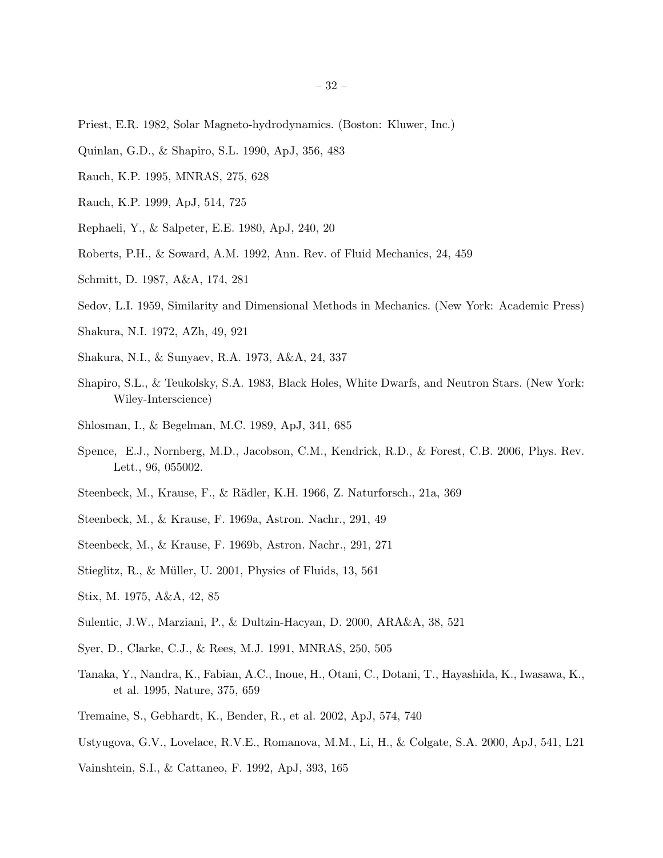- Priest, E.R. 1982, Solar Magneto-hydrodynamics. (Boston: Kluwer, Inc.)
- Quinlan, G.D., & Shapiro, S.L. 1990, ApJ, 356, 483
- Rauch, K.P. 1995, MNRAS, 275, 628
- Rauch, K.P. 1999, ApJ, 514, 725
- Rephaeli, Y., & Salpeter, E.E. 1980, ApJ, 240, 20
- Roberts, P.H., & Soward, A.M. 1992, Ann. Rev. of Fluid Mechanics, 24, 459
- Schmitt, D. 1987, A&A, 174, 281
- Sedov, L.I. 1959, Similarity and Dimensional Methods in Mechanics. (New York: Academic Press)
- Shakura, N.I. 1972, AZh, 49, 921
- Shakura, N.I., & Sunyaev, R.A. 1973, A&A, 24, 337
- Shapiro, S.L., & Teukolsky, S.A. 1983, Black Holes, White Dwarfs, and Neutron Stars. (New York: Wiley-Interscience)
- Shlosman, I., & Begelman, M.C. 1989, ApJ, 341, 685
- Spence, E.J., Nornberg, M.D., Jacobson, C.M., Kendrick, R.D., & Forest, C.B. 2006, Phys. Rev. Lett., 96, 055002.
- Steenbeck, M., Krause, F., & R¨adler, K.H. 1966, Z. Naturforsch., 21a, 369
- Steenbeck, M., & Krause, F. 1969a, Astron. Nachr., 291, 49
- Steenbeck, M., & Krause, F. 1969b, Astron. Nachr., 291, 271
- Stieglitz, R., & Müller, U. 2001, Physics of Fluids, 13, 561
- Stix, M. 1975, A&A, 42, 85
- Sulentic, J.W., Marziani, P., & Dultzin-Hacyan, D. 2000, ARA&A, 38, 521
- Syer, D., Clarke, C.J., & Rees, M.J. 1991, MNRAS, 250, 505
- Tanaka, Y., Nandra, K., Fabian, A.C., Inoue, H., Otani, C., Dotani, T., Hayashida, K., Iwasawa, K., et al. 1995, Nature, 375, 659
- Tremaine, S., Gebhardt, K., Bender, R., et al. 2002, ApJ, 574, 740
- Ustyugova, G.V., Lovelace, R.V.E., Romanova, M.M., Li, H., & Colgate, S.A. 2000, ApJ, 541, L21
- Vainshtein, S.I., & Cattaneo, F. 1992, ApJ, 393, 165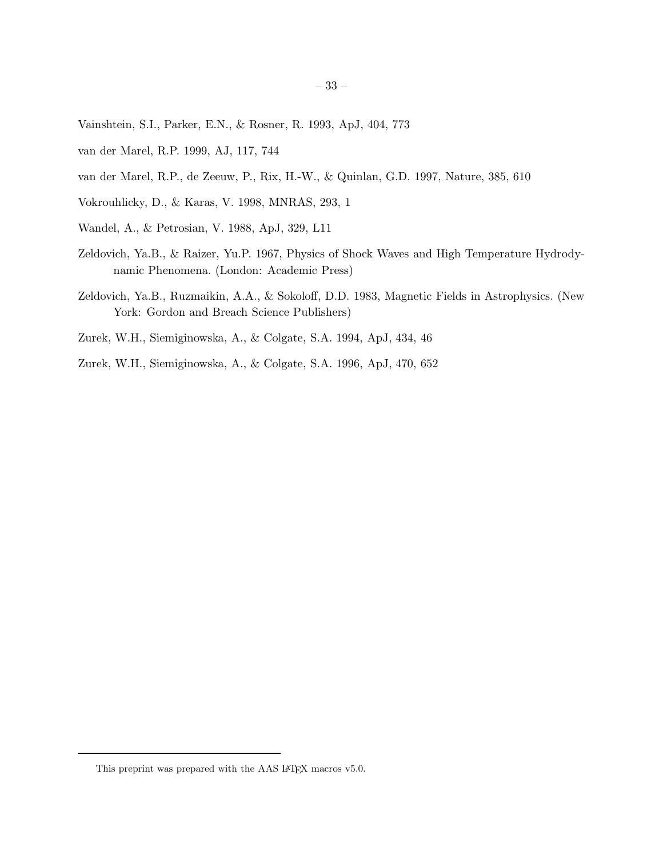- Vainshtein, S.I., Parker, E.N., & Rosner, R. 1993, ApJ, 404, 773
- van der Marel, R.P. 1999, AJ, 117, 744
- van der Marel, R.P., de Zeeuw, P., Rix, H.-W., & Quinlan, G.D. 1997, Nature, 385, 610
- Vokrouhlicky, D., & Karas, V. 1998, MNRAS, 293, 1
- Wandel, A., & Petrosian, V. 1988, ApJ, 329, L11
- Zeldovich, Ya.B., & Raizer, Yu.P. 1967, Physics of Shock Waves and High Temperature Hydrodynamic Phenomena. (London: Academic Press)
- Zeldovich, Ya.B., Ruzmaikin, A.A., & Sokoloff, D.D. 1983, Magnetic Fields in Astrophysics. (New York: Gordon and Breach Science Publishers)
- Zurek, W.H., Siemiginowska, A., & Colgate, S.A. 1994, ApJ, 434, 46
- Zurek, W.H., Siemiginowska, A., & Colgate, S.A. 1996, ApJ, 470, 652

This preprint was prepared with the AAS IATEX macros v5.0.